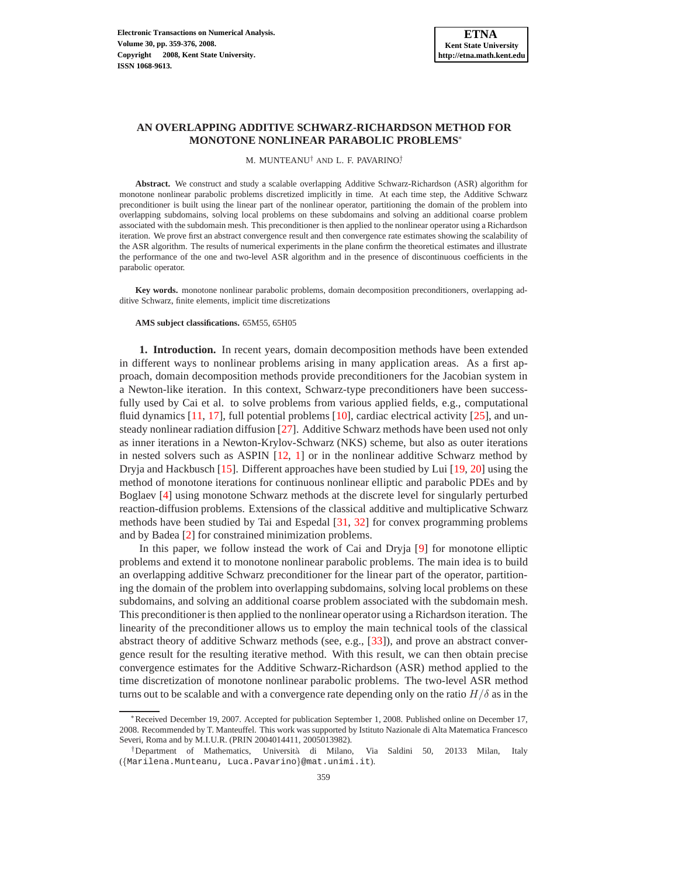## **AN OVERLAPPING ADDITIVE SCHWARZ-RICHARDSON METHOD FOR MONOTONE NONLINEAR PARABOLIC PROBLEMS**<sup>∗</sup>

#### M. MUNTEANU† AND L. F. PAVARINO† .

**Abstract.** We construct and study a scalable overlapping Additive Schwarz-Richardson (ASR) algorithm for monotone nonlinear parabolic problems discretized implicitly in time. At each time step, the Additive Schwarz preconditioner is built using the linear part of the nonlinear operator, partitioning the domain of the problem into overlapping subdomains, solving local problems on these subdomains and solving an additional coarse problem associated with the subdomain mesh. This preconditioner is then applied to the nonlinear operator using a Richardson iteration. We prove first an abstract convergence result and then convergence rate estimates showing the scalability of the ASR algorithm. The results of numerical experiments in the plane confirm the theoretical estimates and illustrate the performance of the one and two-level ASR algorithm and in the presence of discontinuous coefficients in the parabolic operator.

**Key words.** monotone nonlinear parabolic problems, domain decomposition preconditioners, overlapping additive Schwarz, finite elements, implicit time discretizations

## **AMS subject classifications.** 65M55, 65H05

**1. Introduction.** In recent years, domain decomposition methods have been extended in different ways to nonlinear problems arising in many application areas. As a first approach, domain decomposition methods provide preconditioners for the Jacobian system in a Newton-like iteration. In this context, Schwarz-type preconditioners have been successfully used by Cai et al. to solve problems from various applied fields, e.g., computational fluid dynamics  $[11, 17]$  $[11, 17]$ , full potential problems  $[10]$ , cardiac electrical activity  $[25]$ , and unsteady nonlinear radiation diffusion [\[27\]](#page-17-4). Additive Schwarz methods have been used not only as inner iterations in a Newton-Krylov-Schwarz (NKS) scheme, but also as outer iterations in nested solvers such as ASPIN  $[12, 1]$  $[12, 1]$  $[12, 1]$  or in the nonlinear additive Schwarz method by Dryja and Hackbusch [\[15\]](#page-17-6). Different approaches have been studied by Lui [\[19,](#page-17-7) [20\]](#page-17-8) using the method of monotone iterations for continuous nonlinear elliptic and parabolic PDEs and by Boglaev [\[4\]](#page-16-1) using monotone Schwarz methods at the discrete level for singularly perturbed reaction-diffusion problems. Extensions of the classical additive and multiplicative Schwarz methods have been studied by Tai and Espedal [\[31,](#page-17-9) [32\]](#page-17-10) for convex programming problems and by Badea [\[2\]](#page-16-2) for constrained minimization problems.

In this paper, we follow instead the work of Cai and Dryja [\[9\]](#page-17-11) for monotone elliptic problems and extend it to monotone nonlinear parabolic problems. The main idea is to build an overlapping additive Schwarz preconditioner for the linear part of the operator, partitioning the domain of the problem into overlapping subdomains, solving local problems on these subdomains, and solving an additional coarse problem associated with the subdomain mesh. This preconditioner is then applied to the nonlinear operator using a Richardson iteration. The linearity of the preconditioner allows us to employ the main technical tools of the classical abstract theory of additive Schwarz methods (see, e.g., [\[33\]](#page-17-12)), and prove an abstract convergence result for the resulting iterative method. With this result, we can then obtain precise convergence estimates for the Additive Schwarz-Richardson (ASR) method applied to the time discretization of monotone nonlinear parabolic problems. The two-level ASR method turns out to be scalable and with a convergence rate depending only on the ratio  $H/\delta$  as in the

<sup>∗</sup>Received December 19, 2007. Accepted for publication September 1, 2008. Published online on December 17, 2008. Recommended by T. Manteuffel. This work was supported by Istituto Nazionale di Alta Matematica Francesco Severi, Roma and by M.I.U.R. (PRIN 2004014411, 2005013982).

<sup>†</sup>Department of Mathematics, Universit`a di Milano, Via Saldini 50, 20133 Milan, Italy ({Marilena.Munteanu, Luca.Pavarino}@mat.unimi.it).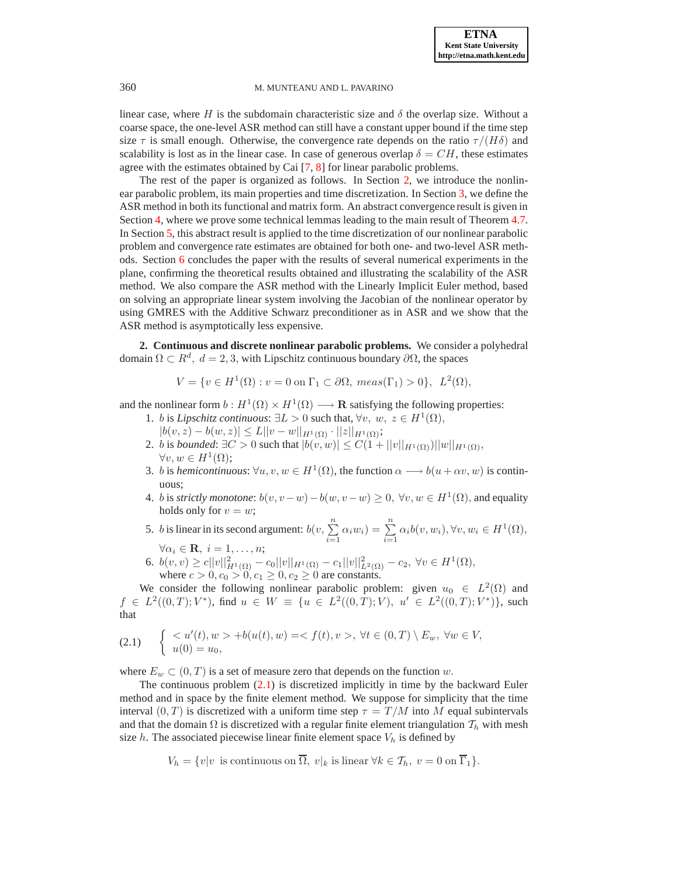linear case, where H is the subdomain characteristic size and  $\delta$  the overlap size. Without a coarse space, the one-level ASR method can still have a constant upper bound if the time step size  $\tau$  is small enough. Otherwise, the convergence rate depends on the ratio  $\tau/(H\delta)$  and scalability is lost as in the linear case. In case of generous overlap  $\delta = CH$ , these estimates agree with the estimates obtained by Cai [\[7,](#page-16-3) [8\]](#page-16-4) for linear parabolic problems.

The rest of the paper is organized as follows. In Section [2,](#page-1-0) we introduce the nonlinear parabolic problem, its main properties and time discretization. In Section [3,](#page-2-0) we define the ASR method in both its functional and matrix form. An abstract convergence result is given in Section [4,](#page-5-0) where we prove some technical lemmas leading to the main result of Theorem [4.7.](#page-9-0) In Section [5,](#page-10-0) this abstract result is applied to the time discretization of our nonlinear parabolic problem and convergence rate estimates are obtained for both one- and two-level ASR methods. Section [6](#page-12-0) concludes the paper with the results of several numerical experiments in the plane, confirming the theoretical results obtained and illustrating the scalability of the ASR method. We also compare the ASR method with the Linearly Implicit Euler method, based on solving an appropriate linear system involving the Jacobian of the nonlinear operator by using GMRES with the Additive Schwarz preconditioner as in ASR and we show that the ASR method is asymptotically less expensive.

<span id="page-1-0"></span>**2. Continuous and discrete nonlinear parabolic problems.** We consider a polyhedral domain  $\Omega \subset R^d$ ,  $d = 2, 3$ , with Lipschitz continuous boundary  $\partial \Omega$ , the spaces

$$
V = \{ v \in H^1(\Omega) : v = 0 \text{ on } \Gamma_1 \subset \partial \Omega, \text{ meas}(\Gamma_1) > 0 \}, \ L^2(\Omega),
$$

and the nonlinear form  $b: H^1(\Omega) \times H^1(\Omega) \longrightarrow \mathbf{R}$  satisfying the following properties:

- 1. *b* is *Lipschitz continuous*:  $\exists L > 0$  such that,  $\forall v, w, z \in H^1(\Omega)$ ,
- $|b(v, z) b(w, z)| \leq L ||v w||_{H^1(\Omega)} \cdot ||z||_{H^1(\Omega)};$
- 2. *b* is *bounded*:  $\exists C > 0$  such that  $|b(v, w)| \leq C(1 + ||v||_{H^1(\Omega)})||w||_{H^1(\Omega)}$ ,  $\forall v, w \in H^1(\Omega);$
- 3. *b* is *hemicontinuous*:  $\forall u, v, w \in H^1(\Omega)$ , the function  $\alpha \longrightarrow b(u + \alpha v, w)$  is continuous;
- 4. *b* is *strictly monotone*:  $b(v, v w) b(w, v w) \ge 0$ ,  $\forall v, w \in H^1(\Omega)$ , and equality holds only for  $v = w$ ;
- 5. *b* is linear in its second argument:  $b(v, \sum_{n=1}^{n}$  $\sum_{i=1}^{n} \alpha_i w_i = \sum_{i=1}^{n} \alpha_i b(v, w_i), \forall v, w_i \in H^1(\Omega),$  $\forall \alpha_i \in \mathbf{R}, i = 1, \ldots, n;$
- 6.  $b(v, v) \ge c||v||_{H^1(\Omega)}^2 c_0||v||_{H^1(\Omega)} c_1||v||_{L^2(\Omega)}^2 c_2, \ \forall v \in H^1(\Omega),$ where  $c > 0, c_0 > 0, c_1 \ge 0, c_2 \ge 0$  are constants.

We consider the following nonlinear parabolic problem: given  $u_0 \in L^2(\Omega)$  and  $f \in L^2((0,T);V^*)$ , find  $u \in W \equiv \{u \in L^2((0,T);V), u' \in L^2((0,T);V^*)\}$ , such that

<span id="page-1-1"></span>
$$
(2.1) \qquad \begin{cases} < u'(t), w > +b(u(t), w) = < f(t), v >, \forall t \in (0, T) \setminus E_w, \ \forall w \in V, \\ u(0) = u_0, \end{cases}
$$

where  $E_w \subset (0, T)$  is a set of measure zero that depends on the function w.

The continuous problem  $(2.1)$  is discretized implicitly in time by the backward Euler method and in space by the finite element method. We suppose for simplicity that the time interval  $(0, T)$  is discretized with a uniform time step  $\tau = T/M$  into M equal subintervals and that the domain  $\Omega$  is discretized with a regular finite element triangulation  $\mathcal{T}_h$  with mesh size  $h$ . The associated piecewise linear finite element space  $V_h$  is defined by

$$
V_h = \{v|v \text{ is continuous on } \overline{\Omega}, v|_k \text{ is linear } \forall k \in \mathcal{T}_h, v = 0 \text{ on } \overline{\Gamma}_1\}.
$$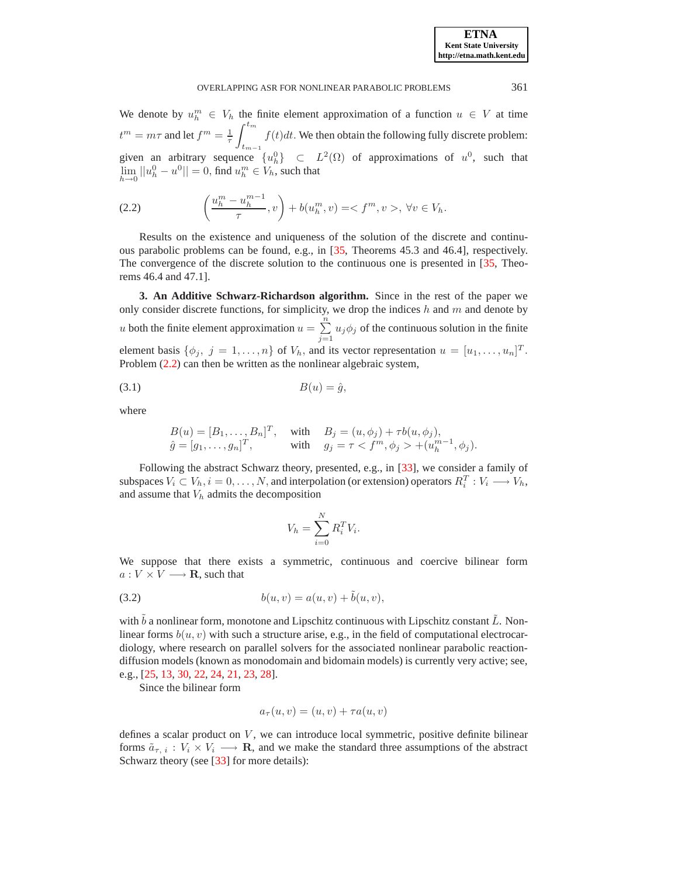We denote by  $u_h^m \in V_h$  the finite element approximation of a function  $u \in V$  at time  $t^m = m\tau$  and let  $f^m = \frac{1}{\tau}$  $\int^{t_m}$  $t_{m-1}$  $f(t)dt$ . We then obtain the following fully discrete problem: given an arbitrary sequence  $\{u_h^0\}$   $\subset$   $L^2(\Omega)$  of approximations of  $u^0$ , such that  $\lim_{h \to 0} ||u_h^0 - u^0|| = 0$ , find  $u_h^m \in V_h$ , such that

<span id="page-2-1"></span>(2.2) 
$$
\left(\frac{u_h^m - u_h^{m-1}}{\tau}, v\right) + b(u_h^m, v) = \langle f^m, v \rangle, \forall v \in V_h.
$$

Results on the existence and uniqueness of the solution of the discrete and continuous parabolic problems can be found, e.g., in [\[35,](#page-17-13) Theorems 45.3 and 46.4], respectively. The convergence of the discrete solution to the continuous one is presented in [\[35,](#page-17-13) Theorems 46.4 and 47.1].

<span id="page-2-0"></span>**3. An Additive Schwarz-Richardson algorithm.** Since in the rest of the paper we only consider discrete functions, for simplicity, we drop the indices  $h$  and  $m$  and denote by u both the finite element approximation  $u = \sum_{n=1}^{\infty}$  $\sum_{j=1} u_j \phi_j$  of the continuous solution in the finite element basis  $\{\phi_j, j = 1, \ldots, n\}$  of  $V_h$ , and its vector representation  $u = [u_1, \ldots, u_n]^T$ . Problem [\(2.2\)](#page-2-1) can then be written as the nonlinear algebraic system,

$$
(3.1) \t\t B(u) = \hat{g},
$$

where

<span id="page-2-2"></span>
$$
B(u) = [B_1, ..., B_n]^T, \text{ with } B_j = (u, \phi_j) + \tau b(u, \phi_j),
$$
  
\n
$$
\hat{g} = [g_1, ..., g_n]^T, \text{ with } g_j = \tau < f^m, \phi_j > + (u_h^{m-1}, \phi_j).
$$

Following the abstract Schwarz theory, presented, e.g., in [\[33\]](#page-17-12), we consider a family of subspaces  $V_i \subset V_h$ ,  $i = 0, \ldots, N$ , and interpolation (or extension) operators  $R_i^T : V_i \longrightarrow V_h$ , and assume that  $V<sub>h</sub>$  admits the decomposition

$$
V_h = \sum_{i=0}^{N} R_i^T V_i.
$$

We suppose that there exists a symmetric, continuous and coercive bilinear form  $a: V \times V \longrightarrow \mathbf{R}$ , such that

<span id="page-2-3"></span>(3.2) 
$$
b(u, v) = a(u, v) + \tilde{b}(u, v),
$$

with  $\tilde{b}$  a nonlinear form, monotone and Lipschitz continuous with Lipschitz constant  $\tilde{L}$ . Nonlinear forms  $b(u, v)$  with such a structure arise, e.g., in the field of computational electrocardiology, where research on parallel solvers for the associated nonlinear parabolic reactiondiffusion models (known as monodomain and bidomain models) is currently very active; see, e.g., [\[25,](#page-17-3) [13,](#page-17-14) [30,](#page-17-15) [22,](#page-17-16) [24,](#page-17-17) [21,](#page-17-18) [23,](#page-17-19) [28\]](#page-17-20).

Since the bilinear form

$$
a_{\tau}(u,v) = (u,v) + \tau a(u,v)
$$

defines a scalar product on  $V$ , we can introduce local symmetric, positive definite bilinear forms  $\tilde{a}_{\tau, i} : V_i \times V_i \longrightarrow \mathbf{R}$ , and we make the standard three assumptions of the abstract Schwarz theory (see [\[33\]](#page-17-12) for more details):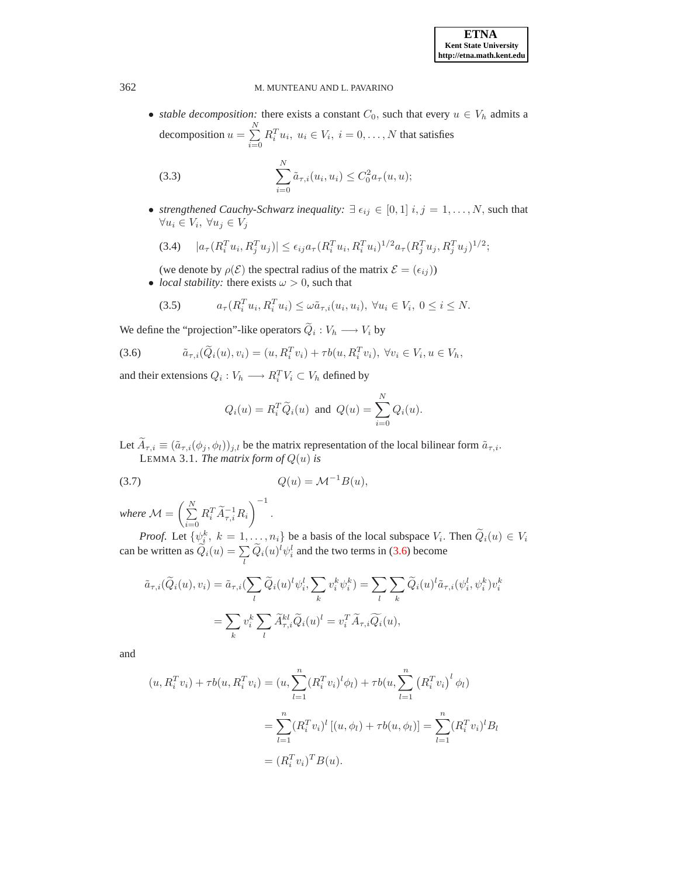• *stable decomposition:* there exists a constant  $C_0$ , such that every  $u \in V_h$  admits a decomposition  $u = \sum_{n=1}^{N}$  $i=0$  $R_i^T u_i, u_i \in V_i, i = 0, \dots, N$  that satisfies

<span id="page-3-1"></span>(3.3) 
$$
\sum_{i=0}^{N} \tilde{a}_{\tau,i}(u_i, u_i) \leq C_0^2 a_{\tau}(u, u);
$$

• *strengthened Cauchy-Schwarz inequality:*  $\exists \epsilon_{ij} \in [0,1]$   $i, j = 1, \ldots, N$ , such that  $\forall u_i \in V_i, \ \forall u_j \in V_j$ 

<span id="page-3-3"></span>
$$
(3.4) \quad |a_{\tau}(R_i^T u_i, R_j^T u_j)| \leq \epsilon_{ij} a_{\tau}(R_i^T u_i, R_i^T u_i)^{1/2} a_{\tau}(R_j^T u_j, R_j^T u_j)^{1/2};
$$

(we denote by  $\rho(\mathcal{E})$  the spectral radius of the matrix  $\mathcal{E} = (\epsilon_{ij})$ )

• *local stability:* there exists  $\omega > 0$ , such that

<span id="page-3-2"></span>
$$
(3.5) \t\t a_{\tau}(R_i^T u_i, R_i^T u_i) \leq \omega \tilde{a}_{\tau,i}(u_i, u_i), \ \forall u_i \in V_i, \ 0 \leq i \leq N.
$$

We define the "projection"-like operators  $Q_i : V_h \longrightarrow V_i$  by

<span id="page-3-0"></span>(3.6) 
$$
\tilde{a}_{\tau,i}(\tilde{Q}_i(u),v_i)=(u,R_i^Tv_i)+\tau b(u,R_i^Tv_i),\ \forall v_i\in V_i, u\in V_h,
$$

and their extensions  $Q_i: V_h \longrightarrow R_i^T V_i \subset V_h$  defined by

$$
Q_i(u) = R_i^T \widetilde{Q}_i(u) \text{ and } Q(u) = \sum_{i=0}^N Q_i(u).
$$

Let  $\widetilde{A}_{\tau,i} \equiv (\widetilde{a}_{\tau,i}(\phi_j, \phi_l))_{j,l}$  be the matrix representation of the local bilinear form  $\widetilde{a}_{\tau,i}$ . LEMMA 3.1. *The matrix form of*  $Q(u)$  *is* 

<span id="page-3-4"></span>
$$
(3.7) \tQ(u) = \mathcal{M}^{-1}B(u),
$$

*where*  $M = \left(\sum_{i=1}^{N} X_i\right)$  $i=0$  $R_i^T \widetilde{A}_{\tau,i}^{-1} R_i$  $\setminus$ <sup>-1</sup> .

*Proof.* Let  $\{\psi_i^k, k = 1, \ldots, n_i\}$  be a basis of the local subspace  $V_i$ . Then  $\tilde{Q}_i(u) \in V_i$ can be written as  $\tilde{Q}_i(u) = \sum_l \tilde{Q}_i(u)^l \psi_i^l$  and the two terms in [\(3.6\)](#page-3-0) become

$$
\tilde{a}_{\tau,i}(\tilde{Q}_i(u), v_i) = \tilde{a}_{\tau,i}(\sum_l \tilde{Q}_i(u)^l \psi_i^l, \sum_k v_i^k \psi_i^k) = \sum_l \sum_k \tilde{Q}_i(u)^l \tilde{a}_{\tau,i}(\psi_i^l, \psi_i^k) v_i^k
$$

$$
= \sum_k v_i^k \sum_l \tilde{A}_{\tau,i}^{kl} \tilde{Q}_i(u)^l = v_i^T \tilde{A}_{\tau,i} \tilde{Q}_i(u),
$$

and

$$
(u, R_i^T v_i) + \tau b(u, R_i^T v_i) = (u, \sum_{l=1}^n (R_i^T v_i)^l \phi_l) + \tau b(u, \sum_{l=1}^n (R_i^T v_i)^l \phi_l)
$$
  
= 
$$
\sum_{l=1}^n (R_i^T v_i)^l [(u, \phi_l) + \tau b(u, \phi_l)] = \sum_{l=1}^n (R_i^T v_i)^l B_l
$$
  
= 
$$
(R_i^T v_i)^T B(u).
$$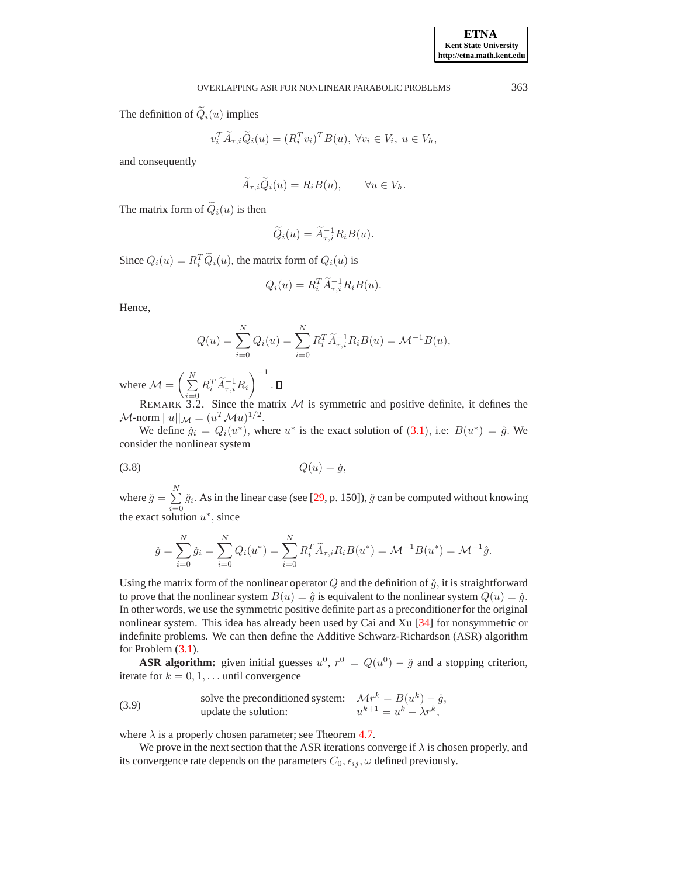The definition of  $\widetilde{Q}_i(u)$  implies

$$
v_i^T \widetilde{A}_{\tau,i} \widetilde{Q}_i(u) = (R_i^T v_i)^T B(u), \ \forall v_i \in V_i, \ u \in V_h,
$$

and consequently

$$
\widetilde{A}_{\tau,i}\widetilde{Q}_i(u) = R_i B(u), \qquad \forall u \in V_h.
$$

The matrix form of  $\tilde{Q}_i(u)$  is then

$$
\widetilde{Q}_i(u) = \widetilde{A}_{\tau,i}^{-1} R_i B(u).
$$

Since  $Q_i(u) = R_i^T \widetilde{Q}_i(u)$ , the matrix form of  $Q_i(u)$  is

$$
Q_i(u) = R_i^T \widetilde{A}_{\tau,i}^{-1} R_i B(u).
$$

Hence,

$$
Q(u) = \sum_{i=0}^{N} Q_i(u) = \sum_{i=0}^{N} R_i^T \widetilde{A}_{\tau,i}^{-1} R_i B(u) = \mathcal{M}^{-1} B(u),
$$

where  $\mathcal{M} = \left(\sum_{i=1}^{N} \right)$  $i=0$  $R_i^T \widetilde{A}_{\tau,i}^{-1} R_i$  $\setminus$ <sup>-1</sup> .

REMARK 3.2. Since the matrix  $M$  is symmetric and positive definite, it defines the  $\mathcal{M}$ -norm  $||u||_{\mathcal{M}} = (u^T \mathcal{M}u)^{1/2}$ .

We define  $\check{g}_i = Q_i(u^*)$ , where  $u^*$  is the exact solution of  $(3.1)$  $(3.1)$  $(3.1)$ , i.e:  $B(u^*) = \hat{g}$ . We consider the nonlinear system

$$
(3.8) \tQ(u) = \check{g},
$$

where  $\check{g} = \sum^N$  $\sum_{i=0}$   $\check{g}_i$ . As in the linear case (see [\[29,](#page-17-21) p. 150]),  $\check{g}$  can be computed without knowing the exact solution  $u^*$ , since

<span id="page-4-0"></span>
$$
\check{g} = \sum_{i=0}^{N} \check{g}_i = \sum_{i=0}^{N} Q_i(u^*) = \sum_{i=0}^{N} R_i^T \widetilde{A}_{\tau,i} R_i B(u^*) = \mathcal{M}^{-1} B(u^*) = \mathcal{M}^{-1} \hat{g}.
$$

Using the matrix form of the nonlinear operator  $Q$  and the definition of  $\check{q}$ , it is straightforward to prove that the nonlinear system  $B(u) = \hat{g}$  is equivalent to the nonlinear system  $Q(u) = \check{g}$ . In other words, we use the symmetric positive definite part as a preconditioner for the original nonlinear system. This idea has already been used by Cai and Xu [\[34\]](#page-17-22) for nonsymmetric or indefinite problems. We can then define the Additive Schwarz-Richardson (ASR) algorithm for Problem [\(3.1\)](#page-2-2).

**ASR algorithm:** given initial guesses  $u^0$ ,  $r^0 = Q(u^0) - \check{g}$  and a stopping criterion, iterate for  $k = 0, 1, \dots$  until convergence

<span id="page-4-1"></span>(3.9) solve the preconditioned system: 
$$
\mathcal{M}r^k = B(u^k) - \hat{g}
$$
,  
update the solution:  $u^{k+1} = u^k - \lambda r^k$ ,

where  $\lambda$  is a properly chosen parameter; see Theorem [4.7.](#page-9-0)

We prove in the next section that the ASR iterations converge if  $\lambda$  is chosen properly, and its convergence rate depends on the parameters  $C_0$ ,  $\epsilon_{ij}$ ,  $\omega$  defined previously.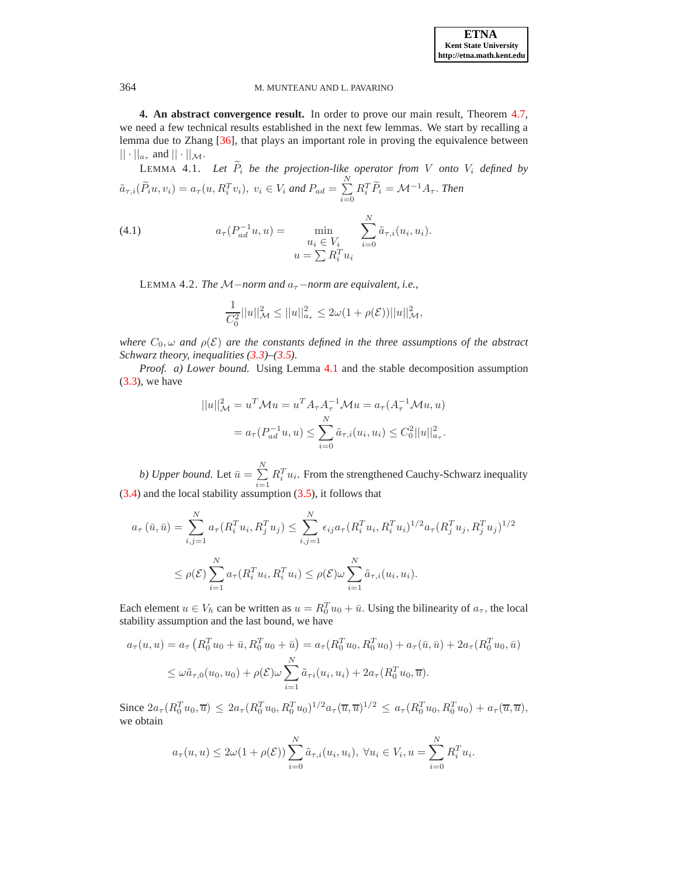<span id="page-5-0"></span>**4. An abstract convergence result.** In order to prove our main result, Theorem [4.7,](#page-9-0) we need a few technical results established in the next few lemmas. We start by recalling a lemma due to Zhang [\[36\]](#page-17-23), that plays an important role in proving the equivalence between  $|| \cdot ||_{a_{\tau}}$  and  $|| \cdot ||_{\mathcal{M}}$ .

LEMMA 4.1. Let  $\widetilde{P}_i$  be the projection-like operator from V onto  $V_i$  defined by  $\tilde{a}_{\tau,i}(\tilde{P}_iu, v_i) = a_{\tau}(u, R_i^Tv_i), v_i \in V_i$  and  $P_{ad} = \sum_{i=1}^N \tilde{P}_i$  $i=0$  $R_i^T \widetilde{P}_i = \mathcal{M}^{-1} A_\tau$ . *Then* 

<span id="page-5-2"></span><span id="page-5-1"></span>(4.1) 
$$
a_{\tau}(P_{ad}^{-1}u, u) = \min_{\substack{u_i \in V_i \\ u = \sum R_i^T u_i}} \sum_{i=0}^N \tilde{a}_{\tau, i}(u_i, u_i).
$$

LEMMA 4.2. *The*  $M$ −*norm and*  $a<sub>τ</sub>$ −*norm are equivalent, i.e.,* 

$$
\frac{1}{C_0^2}||u||^2_{\mathcal{M}} \le ||u||^2_{a_{\tau}} \le 2\omega(1+\rho(\mathcal{E}))||u||^2_{\mathcal{M}},
$$

*where*  $C_0$ ,  $\omega$  *and*  $\rho(\mathcal{E})$  *are the constants defined in the three assumptions of the abstract Schwarz theory, inequalities [\(3.3\)](#page-3-1)–[\(3.5\)](#page-3-2).*

*Proof. a) Lower bound.* Using Lemma [4.1](#page-5-1) and the stable decomposition assumption  $(3.3)$ , we have

$$
||u||_{\mathcal{M}}^{2} = u^{T} \mathcal{M}u = u^{T} A_{\tau} A_{\tau}^{-1} \mathcal{M}u = a_{\tau} (A_{\tau}^{-1} \mathcal{M}u, u)
$$
  
=  $a_{\tau} (P_{ad}^{-1} u, u) \le \sum_{i=0}^{N} \tilde{a}_{\tau, i} (u_{i}, u_{i}) \le C_{0}^{2} ||u||_{a_{\tau}}^{2}.$ 

*b) Upper bound.* Let  $\bar{u} = \sum^{N}$  $i=1$  $R_i^T u_i$ . From the strengthened Cauchy-Schwarz inequality [\(3.4\)](#page-3-3) and the local stability assumption [\(3.5\)](#page-3-2), it follows that

$$
a_{\tau}(\bar{u}, \bar{u}) = \sum_{i,j=1}^{N} a_{\tau}(R_i^T u_i, R_j^T u_j) \le \sum_{i,j=1}^{N} \epsilon_{ij} a_{\tau}(R_i^T u_i, R_i^T u_i)^{1/2} a_{\tau}(R_j^T u_j, R_j^T u_j)^{1/2}
$$
  

$$
\le \rho(\mathcal{E}) \sum_{i=1}^{N} a_{\tau}(R_i^T u_i, R_i^T u_i) \le \rho(\mathcal{E}) \omega \sum_{i=1}^{N} \tilde{a}_{\tau,i}(u_i, u_i).
$$

Each element  $u \in V_h$  can be written as  $u = R_0^T u_0 + \bar{u}$ . Using the bilinearity of  $a_{\tau}$ , the local stability assumption and the last bound, we have

$$
a_{\tau}(u, u) = a_{\tau} \left( R_0^T u_0 + \bar{u}, R_0^T u_0 + \bar{u} \right) = a_{\tau} \left( R_0^T u_0, R_0^T u_0 \right) + a_{\tau} (\bar{u}, \bar{u}) + 2a_{\tau} \left( R_0^T u_0, \bar{u} \right)
$$
  

$$
\leq \omega \tilde{a}_{\tau,0}(u_0, u_0) + \rho(\mathcal{E}) \omega \sum_{i=1}^N \tilde{a}_{\tau i}(u_i, u_i) + 2a_{\tau} \left( R_0^T u_0, \bar{u} \right).
$$

Since  $2a_{\tau}(R_0^T u_0, \overline{u}) \leq 2a_{\tau}(R_0^T u_0, R_0^T u_0)^{1/2} a_{\tau}(\overline{u}, \overline{u})^{1/2} \leq a_{\tau}(R_0^T u_0, R_0^T u_0) + a_{\tau}(\overline{u}, \overline{u}),$ we obtain

$$
a_{\tau}(u, u) \leq 2\omega(1 + \rho(\mathcal{E})) \sum_{i=0}^{N} \tilde{a}_{\tau, i}(u_i, u_i), \ \forall u_i \in V_i, u = \sum_{i=0}^{N} R_i^T u_i.
$$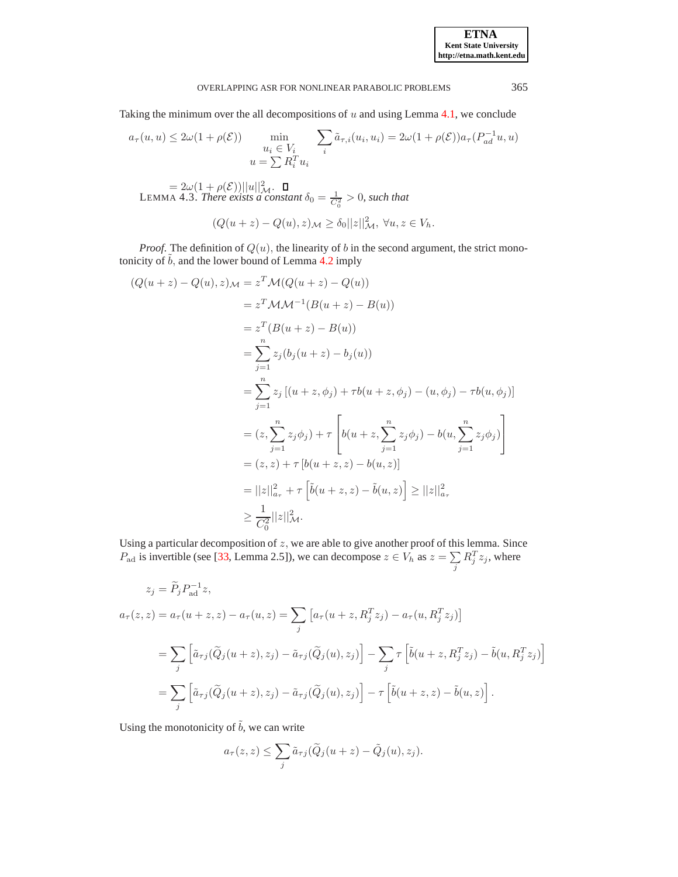## OVERLAPPING ASR FOR NONLINEAR PARABOLIC PROBLEMS 365

Taking the minimum over the all decompositions of  $u$  and using Lemma [4.1,](#page-5-1) we conclude

<span id="page-6-0"></span>
$$
a_{\tau}(u, u) \le 2\omega(1 + \rho(\mathcal{E})) \min_{\substack{u_i \in V_i \\ u = \sum R_i^T u_i}} \sum_i \tilde{a}_{\tau, i}(u_i, u_i) = 2\omega(1 + \rho(\mathcal{E}))a_{\tau}(P_{ad}^{-1}u, u)
$$

 $= 2\omega(1+\rho(\mathcal{E}))||u||^2_{\mathcal{M}}.$ LEMMA 4.3. *There exists a constant*  $\delta_0 = \frac{1}{C_0^2} > 0$ , such that  $(Q(u+z)-Q(u),z)_{\mathcal{M}} \geq \delta_0 ||z||_{\mathcal{M}}^2, \ \forall u,z \in V_h.$ 

*Proof.* The definition of  $Q(u)$ , the linearity of b in the second argument, the strict monotonicity of  $\tilde{b}$ , and the lower bound of Lemma [4.2](#page-5-2) imply

$$
(Q(u+z) - Q(u), z)_{\mathcal{M}} = z^T \mathcal{M}(Q(u+z) - Q(u))
$$
  
\n
$$
= z^T (\mathcal{B}(u+z) - \mathcal{B}(u))
$$
  
\n
$$
= z^T (B(u+z) - B(u))
$$
  
\n
$$
= \sum_{j=1}^n z_j (b_j(u+z) - b_j(u))
$$
  
\n
$$
= \sum_{j=1}^n z_j [(u+z, \phi_j) + \tau b(u+z, \phi_j) - (u, \phi_j) - \tau b(u, \phi_j)]
$$
  
\n
$$
= (z, \sum_{j=1}^n z_j \phi_j) + \tau \left[ b(u+z, \sum_{j=1}^n z_j \phi_j) - b(u, \sum_{j=1}^n z_j \phi_j) \right]
$$
  
\n
$$
= (z, z) + \tau [b(u+z, z) - b(u, z)]
$$
  
\n
$$
= ||z||_{a_{\tau}}^2 + \tau \left[ \tilde{b}(u+z, z) - \tilde{b}(u, z) \right] \ge ||z||_{a_{\tau}}^2
$$
  
\n
$$
\ge \frac{1}{C_0^2} ||z||_{\mathcal{M}}^2.
$$

Using a particular decomposition of  $z$ , we are able to give another proof of this lemma. Since  $P_{\text{ad}}$  is invertible (see [\[33,](#page-17-12) Lemma 2.5]), we can decompose  $z \in V_h$  as  $z = \sum$ j  $R_j^T z_j$ , where

$$
z_j = \widetilde{P}_j P_{ad}^{-1} z,
$$
  
\n
$$
a_{\tau}(z, z) = a_{\tau}(u + z, z) - a_{\tau}(u, z) = \sum_j \left[ a_{\tau}(u + z, R_j^T z_j) - a_{\tau}(u, R_j^T z_j) \right]
$$
  
\n
$$
= \sum_j \left[ \widetilde{a}_{\tau j}(\widetilde{Q}_j(u + z), z_j) - \widetilde{a}_{\tau j}(\widetilde{Q}_j(u), z_j) \right] - \sum_j \tau \left[ \widetilde{b}(u + z, R_j^T z_j) - \widetilde{b}(u, R_j^T z_j) \right]
$$
  
\n
$$
= \sum_j \left[ \widetilde{a}_{\tau j}(\widetilde{Q}_j(u + z), z_j) - \widetilde{a}_{\tau j}(\widetilde{Q}_j(u), z_j) \right] - \tau \left[ \widetilde{b}(u + z, z) - \widetilde{b}(u, z) \right].
$$

Using the monotonicity of  $\tilde{b}$ , we can write

$$
a_{\tau}(z, z) \leq \sum_{j} \tilde{a}_{\tau j}(\tilde{Q}_j(u+z) - \tilde{Q}_j(u), z_j).
$$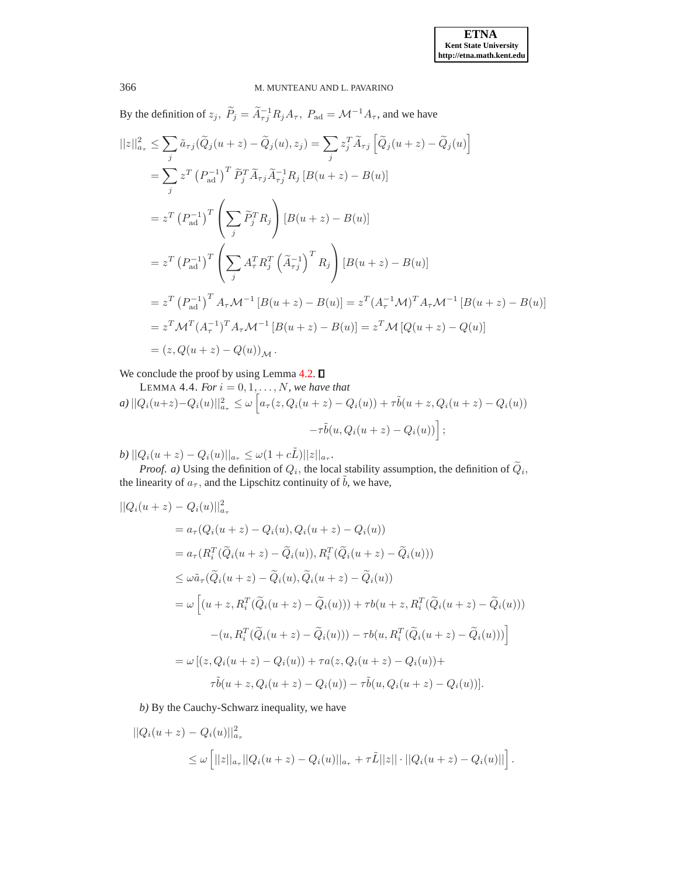By the definition of  $z_j$ ,  $\tilde{P}_j = \tilde{A}_{\tau j}^{-1} R_j A_\tau$ ,  $P_{ad} = \mathcal{M}^{-1} A_\tau$ , and we have

$$
||z||_{a_{\tau}}^{2} \leq \sum_{j} \tilde{a}_{\tau j}(\tilde{Q}_{j}(u+z) - \tilde{Q}_{j}(u), z_{j}) = \sum_{j} z_{j}^{T} \tilde{A}_{\tau j} \left[ \tilde{Q}_{j}(u+z) - \tilde{Q}_{j}(u) \right]
$$
  
\n
$$
= \sum_{j} z^{T} (P_{ad}^{-1})^{T} \tilde{P}_{j}^{T} \tilde{A}_{\tau j} \tilde{A}_{\tau j}^{-1} R_{j} [B(u+z) - B(u)]
$$
  
\n
$$
= z^{T} (P_{ad}^{-1})^{T} \left( \sum_{j} \tilde{P}_{j}^{T} R_{j} \right) [B(u+z) - B(u)]
$$
  
\n
$$
= z^{T} (P_{ad}^{-1})^{T} \left( \sum_{j} A_{\tau}^{T} R_{j}^{T} (\tilde{A}_{\tau j}^{-1})^{T} R_{j} \right) [B(u+z) - B(u)]
$$
  
\n
$$
= z^{T} (P_{ad}^{-1})^{T} A_{\tau} \mathcal{M}^{-1} [B(u+z) - B(u)] = z^{T} (A_{\tau}^{-1} \mathcal{M})^{T} A_{\tau} \mathcal{M}^{-1} [B(u+z) - B(u)]
$$
  
\n
$$
= z^{T} \mathcal{M}^{T} (A_{\tau}^{-1})^{T} A_{\tau} \mathcal{M}^{-1} [B(u+z) - B(u)] = z^{T} \mathcal{M} [Q(u+z) - Q(u)]
$$
  
\n
$$
= (z, Q(u+z) - Q(u))_{\mathcal{M}}.
$$

<span id="page-7-0"></span>We conclude the proof by using Lemma  $4.2$ .  $\square$ 

LEMMA 4.4. For 
$$
i = 0, 1, ..., N
$$
, we have that  
\n
$$
a) ||Q_i(u+z) - Q_i(u)||_{a_{\tau}}^2 \le \omega \left[ a_{\tau}(z, Q_i(u+z) - Q_i(u)) + \tau \tilde{b}(u+z, Q_i(u+z) - Q_i(u)) - \tau \tilde{b}(u, Q_i(u+z) - Q_i(u)) \right];
$$

*b*)  $||Q_i(u+z) - Q_i(u)||_{a_{\tau}} \leq \omega(1+c\tilde{L})||z||_{a_{\tau}}.$ 

*Proof. a*) Using the definition of  $Q_i$ , the local stability assumption, the definition of  $Q_i$ , the linearity of  $a_{\tau}$ , and the Lipschitz continuity of  $\tilde{b}$ , we have,

$$
||Q_i(u+z) - Q_i(u)||_{a_{\tau}}^2
$$
  
=  $a_{\tau}(Q_i(u+z) - Q_i(u), Q_i(u+z) - Q_i(u))$   
=  $a_{\tau}(R_i^T(\tilde{Q}_i(u+z) - \tilde{Q}_i(u)), R_i^T(\tilde{Q}_i(u+z) - \tilde{Q}_i(u)))$   
 $\leq \omega \tilde{a}_{\tau}(\tilde{Q}_i(u+z) - \tilde{Q}_i(u), \tilde{Q}_i(u+z) - \tilde{Q}_i(u))$   
=  $\omega \left[ (u+z, R_i^T(\tilde{Q}_i(u+z) - \tilde{Q}_i(u))) + \tau b(u+z, R_i^T(\tilde{Q}_i(u+z) - \tilde{Q}_i(u))) - (u, R_i^T(\tilde{Q}_i(u+z) - \tilde{Q}_i(u))) - \tau b(u, R_i^T(\tilde{Q}_i(u+z) - \tilde{Q}_i(u))) \right]$   
=  $\omega \left[ (z, Q_i(u+z) - Q_i(u)) + \tau a(z, Q_i(u+z) - Q_i(u)) + \tau \tilde{b}(u+z, Q_i(u+z) - Q_i(u)) - \tau \tilde{b}(u, Q_i(u+z) - Q_i(u)) \right].$ 

*b)* By the Cauchy-Schwarz inequality, we have

$$
||Q_i(u+z) - Q_i(u)||_{a_{\tau}}^2
$$
  
\n
$$
\leq \omega \left[||z||_{a_{\tau}}||Q_i(u+z) - Q_i(u)||_{a_{\tau}} + \tau \tilde{L}||z|| \cdot ||Q_i(u+z) - Q_i(u)||\right].
$$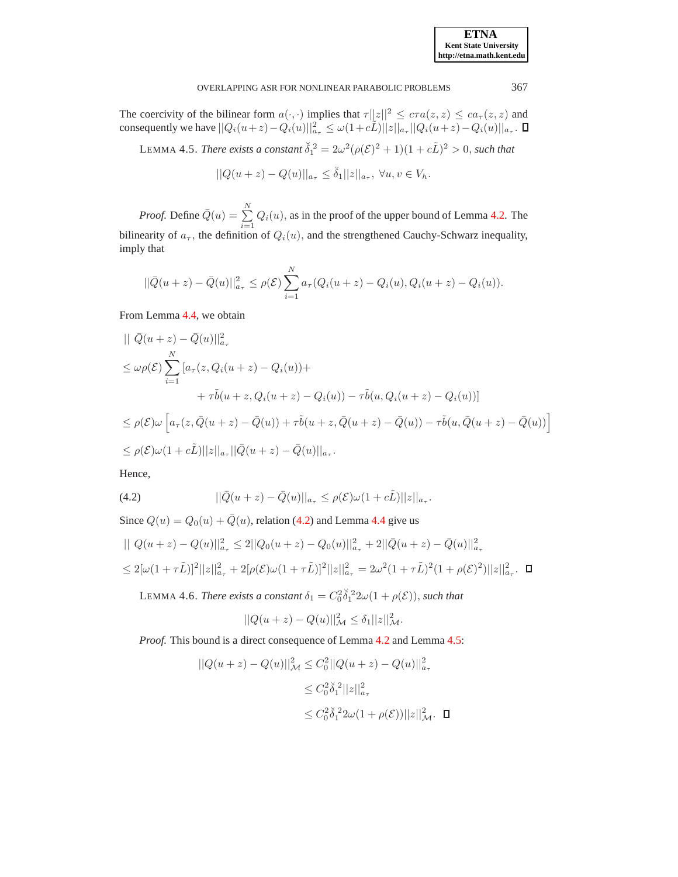### **ETNA Kent State University http://etna.math.kent.edu**

### OVERLAPPING ASR FOR NONLINEAR PARABOLIC PROBLEMS 367

<span id="page-8-1"></span>The coercivity of the bilinear form  $a(\cdot, \cdot)$  implies that  $\tau ||z||^2 \leq c\tau a(z, z) \leq c a_\tau(z, z)$  and consequently we have  $||Q_i(u+z) - Q_i(u)||_{a_{\tau}}^2 \leq \omega(1+c\tilde{L})||z||_{a_{\tau}}||Q_i(u+z) - Q_i(u)||_{a_{\tau}}.$ 

LEMMA 4.5. *There exists a constant*  $\check{\delta}_1^2 = 2\omega^2(\rho(\mathcal{E})^2 + 1)(1 + c\tilde{L})^2 > 0$ , such that

 $||Q(u+z) - Q(u)||_{a_{\tau}} \leq \check{\delta}_1 ||z||_{a_{\tau}}, \ \forall u, v \in V_h.$ 

*Proof.* Define  $\overline{Q}(u) = \sum_{n=1}^{N}$  $\sum_{i=1} Q_i(u)$ , as in the proof of the upper bound of Lemma [4.2.](#page-5-2) The bilinearity of  $a_{\tau}$ , the definition of  $Q_i(u)$ , and the strengthened Cauchy-Schwarz inequality, imply that

$$
||\bar{Q}(u+z) - \bar{Q}(u)||_{a_{\tau}}^{2} \leq \rho(\mathcal{E}) \sum_{i=1}^{N} a_{\tau}(Q_{i}(u+z) - Q_{i}(u), Q_{i}(u+z) - Q_{i}(u)).
$$

From Lemma [4.4,](#page-7-0) we obtain

$$
\begin{aligned}\n\|\ \bar{Q}(u+z) - \bar{Q}(u)\|_{a_{\tau}}^2 \\
&\leq \omega \rho(\mathcal{E}) \sum_{i=1}^N \left[a_{\tau}(z, Q_i(u+z) - Q_i(u)) + \right. \\
&\quad + \tau \tilde{b}(u+z, Q_i(u+z) - Q_i(u)) - \tau \tilde{b}(u, Q_i(u+z) - Q_i(u))\right] \\
&\leq \rho(\mathcal{E}) \omega \left[a_{\tau}(z, \bar{Q}(u+z) - \bar{Q}(u)) + \tau \tilde{b}(u+z, \bar{Q}(u+z) - \bar{Q}(u)) - \tau \tilde{b}(u, \bar{Q}(u+z) - \bar{Q}(u))\right] \\
&\leq \rho(\mathcal{E}) \omega (1 + c\tilde{L}) ||z||_{a_{\tau}} ||\bar{Q}(u+z) - \bar{Q}(u)||_{a_{\tau}}.\n\end{aligned}
$$

Hence,

<span id="page-8-0"></span>(4.2) 
$$
||\bar{Q}(u+z) - \bar{Q}(u)||_{a_{\tau}} \leq \rho(\mathcal{E})\omega(1+c\tilde{L})||z||_{a_{\tau}}.
$$

Since  $Q(u) = Q_0(u) + \overline{Q}(u)$ , relation [\(4.2\)](#page-8-0) and Lemma [4.4](#page-7-0) give us

<span id="page-8-2"></span>
$$
\| Q(u+z) - Q(u) \|_{a_{\tau}}^2 \le 2 \| Q_0(u+z) - Q_0(u) \|_{a_{\tau}}^2 + 2 \| \bar{Q}(u+z) - \bar{Q}(u) \|_{a_{\tau}}^2
$$
  

$$
\le 2[\omega(1+\tau\tilde{L})]^2 ||z||_{a_{\tau}}^2 + 2[\rho(\mathcal{E})\omega(1+\tau\tilde{L})]^2 ||z||_{a_{\tau}}^2 = 2\omega^2(1+\tau\tilde{L})^2(1+\rho(\mathcal{E})^2) ||z||_{a_{\tau}}^2.
$$

LEMMA 4.6. *There exists a constant*  $\delta_1 = C_0^2 \check{\delta}_1^2 2\omega(1 + \rho(\mathcal{E}))$ , such that

$$
||Q(u+z) - Q(u)||_{\mathcal{M}}^2 \le \delta_1 ||z||_{\mathcal{M}}^2.
$$

*Proof.* This bound is a direct consequence of Lemma [4.2](#page-5-2) and Lemma [4.5:](#page-8-1)

$$
||Q(u+z) - Q(u)||_{\mathcal{M}}^2 \leq C_0^2 ||Q(u+z) - Q(u)||_{a_{\tau}}^2
$$
  

$$
\leq C_0^2 \check{\delta}_1^2 ||z||_{a_{\tau}}^2
$$
  

$$
\leq C_0^2 \check{\delta}_1^2 2\omega (1 + \rho(\mathcal{E})) ||z||_{\mathcal{M}}^2.
$$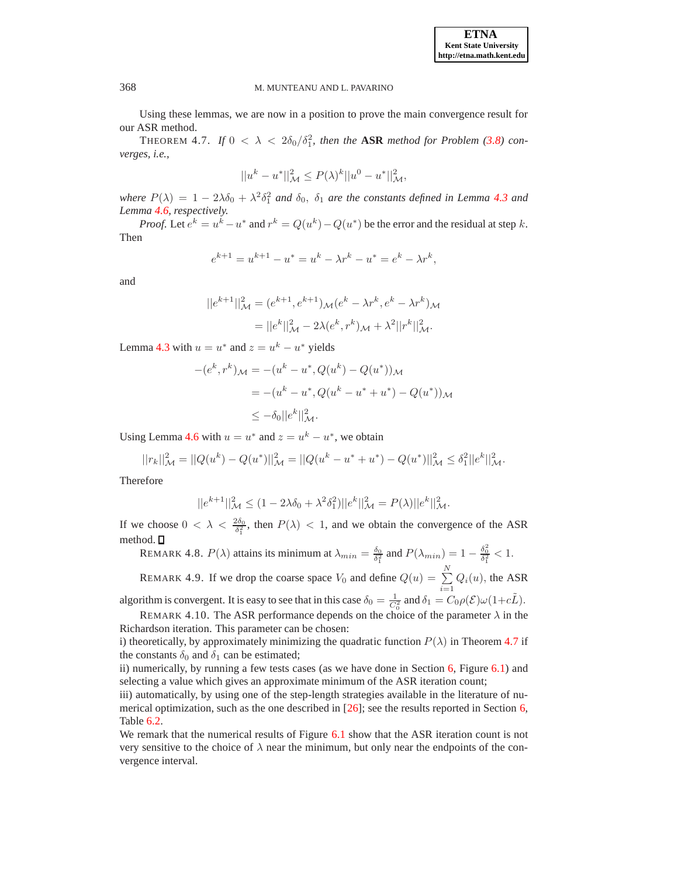<span id="page-9-0"></span>Using these lemmas, we are now in a position to prove the main convergence result for our ASR method.

THEOREM 4.7. If  $0 < \lambda < 2\delta_0/\delta_1^2$ , then the **ASR** method for Problem [\(3.8\)](#page-4-0) con*verges, i.e.,*

$$
||u^k - u^*||^2_{\mathcal{M}} \leq P(\lambda)^k ||u^0 - u^*||^2_{\mathcal{M}},
$$

*where*  $P(\lambda) = 1 - 2\lambda\delta_0 + \lambda^2\delta_1^2$  *and*  $\delta_0$ ,  $\delta_1$  *are the constants defined in Lemma [4.3](#page-6-0) and Lemma [4.6,](#page-8-2) respectively.*

*Proof.* Let  $e^k = u^k - u^*$  and  $r^k = Q(u^k) - Q(u^*)$  be the error and the residual at step k. Then

$$
e^{k+1} = u^{k+1} - u^* = u^k - \lambda r^k - u^* = e^k - \lambda r^k,
$$

and

$$
||e^{k+1}||_{\mathcal{M}}^2 = (e^{k+1}, e^{k+1})_{\mathcal{M}}(e^k - \lambda r^k, e^k - \lambda r^k)_{\mathcal{M}}
$$
  
=  $||e^k||_{\mathcal{M}}^2 - 2\lambda (e^k, r^k)_{\mathcal{M}} + \lambda^2 ||r^k||_{\mathcal{M}}^2.$ 

Lemma [4.3](#page-6-0) with  $u = u^*$  and  $z = u^k - u^*$  yields

$$
-(e^k, r^k)_{\mathcal{M}} = -(u^k - u^*, Q(u^k) - Q(u^*))_{\mathcal{M}}
$$
  
= 
$$
-(u^k - u^*, Q(u^k - u^* + u^*) - Q(u^*))_{\mathcal{M}}
$$
  

$$
\leq -\delta_0 ||e^k||_{\mathcal{M}}^2.
$$

Using Lemma [4.6](#page-8-2) with  $u = u^*$  and  $z = u^k - u^*$ , we obtain

$$
||r_k||^2_{\mathcal{M}} = ||Q(u^k) - Q(u^*)||^2_{\mathcal{M}} = ||Q(u^k - u^* + u^*) - Q(u^*)||^2_{\mathcal{M}} \leq \delta_1^2 ||e^k||^2_{\mathcal{M}}.
$$

Therefore

$$
||e^{k+1}||_{\mathcal{M}}^2 \le (1 - 2\lambda \delta_0 + \lambda^2 \delta_1^2)||e^k||_{\mathcal{M}}^2 = P(\lambda)||e^k||_{\mathcal{M}}^2.
$$

If we choose  $0 < \lambda < \frac{2\delta_0}{\delta_1^2}$ , then  $P(\lambda) < 1$ , and we obtain the convergence of the ASR method.  $\square$ 

REMARK 4.8.  $P(\lambda)$  attains its minimum at  $\lambda_{min} = \frac{\delta_0}{\delta_1^2}$  and  $P(\lambda_{min}) = 1 - \frac{\delta_0^2}{\delta_1^2} < 1$ .

REMARK 4.9. If we drop the coarse space  $V_0$  and define  $Q(u) = \sum_{n=1}^{N}$  $\sum_{i=1} Q_i(u)$ , the ASR

algorithm is convergent. It is easy to see that in this case  $\delta_0 = \frac{1}{C_0^2}$  and  $\delta_1 = C_0 \rho(\mathcal{E}) \omega(1 + c\tilde{L})$ . REMARK 4.10. The ASR performance depends on the choice of the parameter  $\lambda$  in the Richardson iteration. This parameter can be chosen:

i) theoretically, by approximately minimizing the quadratic function  $P(\lambda)$  in Theorem [4.7](#page-9-0) if the constants  $\delta_0$  and  $\delta_1$  can be estimated;

ii) numerically, by running a few tests cases (as we have done in Section  $6$ , Figure  $6.1$ ) and selecting a value which gives an approximate minimum of the ASR iteration count;

iii) automatically, by using one of the step-length strategies available in the literature of numerical optimization, such as the one described in [\[26\]](#page-17-24); see the results reported in Section [6,](#page-12-0) Table [6.2.](#page-13-0)

We remark that the numerical results of Figure [6.1](#page-14-0) show that the ASR iteration count is not very sensitive to the choice of  $\lambda$  near the minimum, but only near the endpoints of the convergence interval.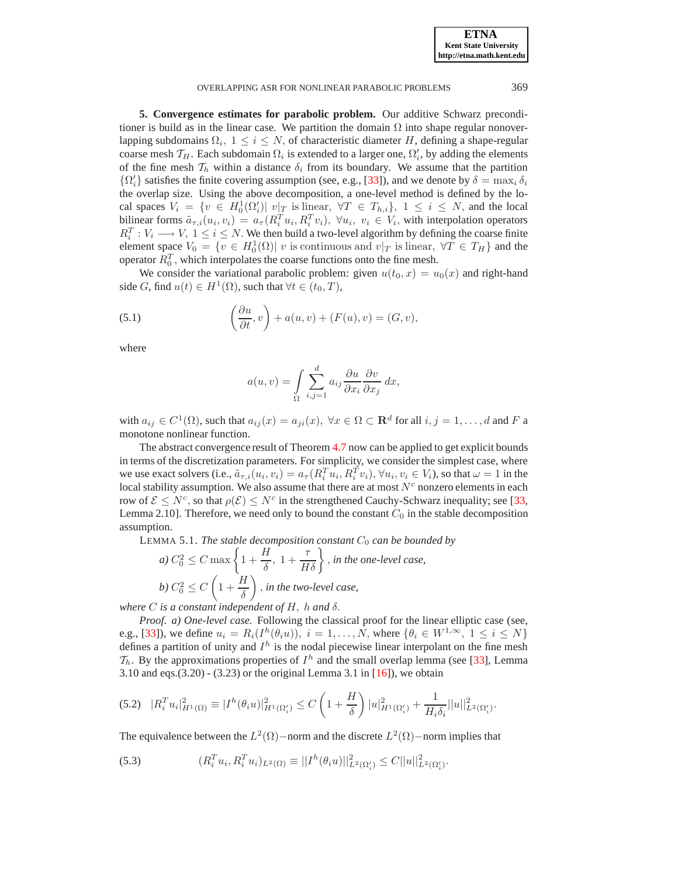**ETNA Kent State University http://etna.math.kent.edu**

#### OVERLAPPING ASR FOR NONLINEAR PARABOLIC PROBLEMS 369

<span id="page-10-0"></span>**5. Convergence estimates for parabolic problem.** Our additive Schwarz preconditioner is build as in the linear case. We partition the domain  $\Omega$  into shape regular nonoverlapping subdomains  $\Omega_i$ ,  $1 \leq i \leq N$ , of characteristic diameter H, defining a shape-regular coarse mesh  $\mathcal{T}_H$ . Each subdomain  $\Omega_i$  is extended to a larger one,  $\Omega'_i$ , by adding the elements of the fine mesh  $\mathcal{T}_h$  within a distance  $\delta_i$  from its boundary. We assume that the partition  $\{\Omega'_i\}$  satisfies the finite covering assumption (see, e.g., [\[33\]](#page-17-12)), and we denote by  $\delta = \max_i \delta_i$ the overlap size. Using the above decomposition, a one-level method is defined by the local spaces  $V_i = \{v \in H_0^1(\Omega_i') | v | \subseteq \text{is linear}, \forall T \in T_{h,i}\}, 1 \le i \le N$ , and the local bilinear forms  $\tilde{a}_{\tau,i}(u_i, v_i) = a_\tau (R_i^T u_i, R_i^T v_i), \ \forall u_i, \ v_i \in V_i$ , with interpolation operators  $R_i^T : V_i \longrightarrow V, 1 \leq i \leq N$ . We then build a two-level algorithm by defining the coarse finite element space  $V_0 = \{v \in H_0^1(\Omega) | v$  is continuous and  $v|_T$  is linear,  $\forall T \in T_H\}$  and the operator  $R_0^T$ , which interpolates the coarse functions onto the fine mesh.

We consider the variational parabolic problem: given  $u(t_0, x) = u_0(x)$  and right-hand side G, find  $u(t) \in H^1(\Omega)$ , such that  $\forall t \in (t_0, T)$ ,

<span id="page-10-4"></span>(5.1) 
$$
\left(\frac{\partial u}{\partial t}, v\right) + a(u, v) + (F(u), v) = (G, v),
$$

where

$$
a(u,v) = \int_{\Omega} \sum_{i,j=1}^{d} a_{ij} \frac{\partial u}{\partial x_i} \frac{\partial v}{\partial x_j} dx,
$$

with  $a_{ij} \in C^1(\Omega)$ , such that  $a_{ij}(x) = a_{ji}(x)$ ,  $\forall x \in \Omega \subset \mathbf{R}^d$  for all  $i, j = 1, \ldots, d$  and F a monotone nonlinear function.

The abstract convergence result of Theorem [4.7](#page-9-0) now can be applied to get explicit bounds in terms of the discretization parameters. For simplicity, we consider the simplest case, where we use exact solvers (i.e.,  $\tilde{a}_{\tau,i}(u_i, v_i) = a_\tau (R_i^T u_i, R_i^T v_i), \forall u_i, v_i \in V_i$ ), so that  $\omega = 1$  in the local stability assumption. We also assume that there are at most  $N<sup>c</sup>$  nonzero elements in each row of  $\mathcal{E} \leq N^c$ , so that  $\rho(\mathcal{E}) \leq N^c$  in the strengthened Cauchy-Schwarz inequality; see [\[33,](#page-17-12) Lemma 2.10]. Therefore, we need only to bound the constant  $C_0$  in the stable decomposition assumption.

<span id="page-10-3"></span>LEMMA 5.1. *The stable decomposition constant*  $C_0$  *can be bounded by* 

a) 
$$
C_0^2 \le C \max \left\{ 1 + \frac{H}{\delta}, 1 + \frac{\tau}{H\delta} \right\}
$$
, in the one-level case,  
b)  $C_0^2 \le C \left( 1 + \frac{H}{\delta} \right)$ , in the two-level case,

*where* C *is a constant independent of* H, h *and* δ.

*Proof*. *a) One-level case.* Following the classical proof for the linear elliptic case (see, e.g., [\[33\]](#page-17-12)), we define  $u_i = R_i(I^h(\theta_i u))$ ,  $i = 1, ..., N$ , where  $\{\theta_i \in W^{1, \infty}, 1 \le i \le N\}$ defines a partition of unity and  $I<sup>h</sup>$  is the nodal piecewise linear interpolant on the fine mesh  $\mathcal{T}_h$ . By the approximations properties of  $I^h$  and the small overlap lemma (see [\[33\]](#page-17-12), Lemma 3.10 and eqs.(3.20) - (3.23) or the original Lemma 3.1 in  $[16]$ ), we obtain

<span id="page-10-1"></span>
$$
(5.2) \quad |R_i^T u_i|^2_{H^1(\Omega)} \equiv |I^h(\theta_i u)|^2_{H^1(\Omega_i')} \leq C \left(1 + \frac{H}{\delta}\right) |u|^2_{H^1(\Omega_i')} + \frac{1}{H_i \delta_i} ||u||^2_{L^2(\Omega_i')}.
$$

The equivalence between the  $L^2(\Omega)$  – norm and the discrete  $L^2(\Omega)$  – norm implies that

<span id="page-10-2"></span>(5.3) 
$$
(R_i^T u_i, R_i^T u_i)_{L^2(\Omega)} \equiv ||I^h(\theta_i u)||_{L^2(\Omega_i')}^2 \le C||u||_{L^2(\Omega_i')}^2.
$$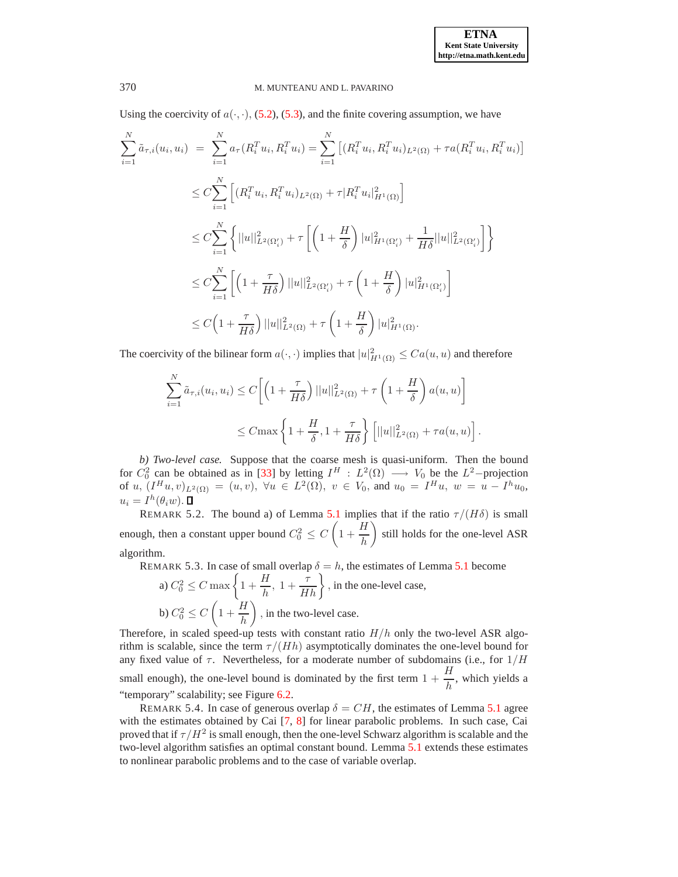Using the coercivity of  $a(\cdot, \cdot)$ , [\(5.2\)](#page-10-1), [\(5.3\)](#page-10-2), and the finite covering assumption, we have

$$
\sum_{i=1}^{N} \tilde{a}_{\tau,i}(u_i, u_i) = \sum_{i=1}^{N} a_{\tau}(R_i^T u_i, R_i^T u_i) = \sum_{i=1}^{N} \left[ (R_i^T u_i, R_i^T u_i)_{L^2(\Omega)} + \tau a (R_i^T u_i, R_i^T u_i) \right]
$$
\n
$$
\leq C \sum_{i=1}^{N} \left[ (R_i^T u_i, R_i^T u_i)_{L^2(\Omega)} + \tau |R_i^T u_i|_{H^1(\Omega)}^2 \right]
$$
\n
$$
\leq C \sum_{i=1}^{N} \left\{ ||u||_{L^2(\Omega_i')}^2 + \tau \left[ \left( 1 + \frac{H}{\delta} \right) |u|_{H^1(\Omega_i')}^2 + \frac{1}{H\delta} ||u||_{L^2(\Omega_i')}^2 \right] \right\}
$$
\n
$$
\leq C \sum_{i=1}^{N} \left[ \left( 1 + \frac{\tau}{H\delta} \right) ||u||_{L^2(\Omega_i')}^2 + \tau \left( 1 + \frac{H}{\delta} \right) ||u|_{H^1(\Omega_i')}^2 \right]
$$
\n
$$
\leq C \left( 1 + \frac{\tau}{H\delta} \right) ||u||_{L^2(\Omega)}^2 + \tau \left( 1 + \frac{H}{\delta} \right) ||u|_{H^1(\Omega)}^2.
$$

The coercivity of the bilinear form  $a(\cdot, \cdot)$  implies that  $|u|_{H^1(\Omega)}^2 \leq Ca(u, u)$  and therefore

$$
\sum_{i=1}^{N} \tilde{a}_{\tau,i}(u_i, u_i) \le C \left[ \left( 1 + \frac{\tau}{H\delta} \right) ||u||_{L^2(\Omega)}^2 + \tau \left( 1 + \frac{H}{\delta} \right) a(u, u) \right]
$$
  

$$
\le C \max \left\{ 1 + \frac{H}{\delta}, 1 + \frac{\tau}{H\delta} \right\} \left[ ||u||_{L^2(\Omega)}^2 + \tau a(u, u) \right].
$$

*b) Two-level case.* Suppose that the coarse mesh is quasi-uniform. Then the bound for  $C_0^2$  can be obtained as in [\[33\]](#page-17-12) by letting  $I^H : L^2(\Omega) \longrightarrow V_0$  be the  $L^2$ -projection of  $u, (I^H u, v)_{L^2(\Omega)} = (u, v), \forall u \in L^2(\Omega), v \in V_0$ , and  $u_0 = I^H u, w = u - I^h u_0$ ,  $u_i = I^h(\theta_i w).$ 

<span id="page-11-0"></span>REMARK 5.2. The bound a) of Lemma [5.1](#page-10-3) implies that if the ratio  $\tau/(H\delta)$  is small enough, then a constant upper bound  $C_0^2 \leq C$  $\sqrt{ }$  $1 + \frac{H}{I}$ h  $\overline{ }$ still holds for the one-level ASR algorithm.

REMARK 5.3. In case of small overlap  $\delta = h$ , the estimates of Lemma [5.1](#page-10-3) become

a) 
$$
C_0^2 \le C \max \left\{ 1 + \frac{H}{h}, 1 + \frac{\tau}{Hh} \right\}
$$
, in the one-level case,  
b)  $C_0^2 \le C \left( 1 + \frac{H}{h} \right)$ , in the two-level case.

Therefore, in scaled speed-up tests with constant ratio  $H/h$  only the two-level ASR algorithm is scalable, since the term  $\tau/(Hh)$  asymptotically dominates the one-level bound for any fixed value of  $\tau$ . Nevertheless, for a moderate number of subdomains (i.e., for  $1/H$ small enough), the one-level bound is dominated by the first term  $1 + \frac{H}{I}$  $\frac{\mu}{h}$ , which yields a "temporary" scalability; see Figure [6.2.](#page-15-0)

REMARK 5.4. In case of generous overlap  $\delta = CH$ , the estimates of Lemma [5.1](#page-10-3) agree with the estimates obtained by Cai [\[7,](#page-16-3) [8\]](#page-16-4) for linear parabolic problems. In such case, Cai proved that if  $\tau/H^2$  is small enough, then the one-level Schwarz algorithm is scalable and the two-level algorithm satisfies an optimal constant bound. Lemma [5.1](#page-10-3) extends these estimates to nonlinear parabolic problems and to the case of variable overlap.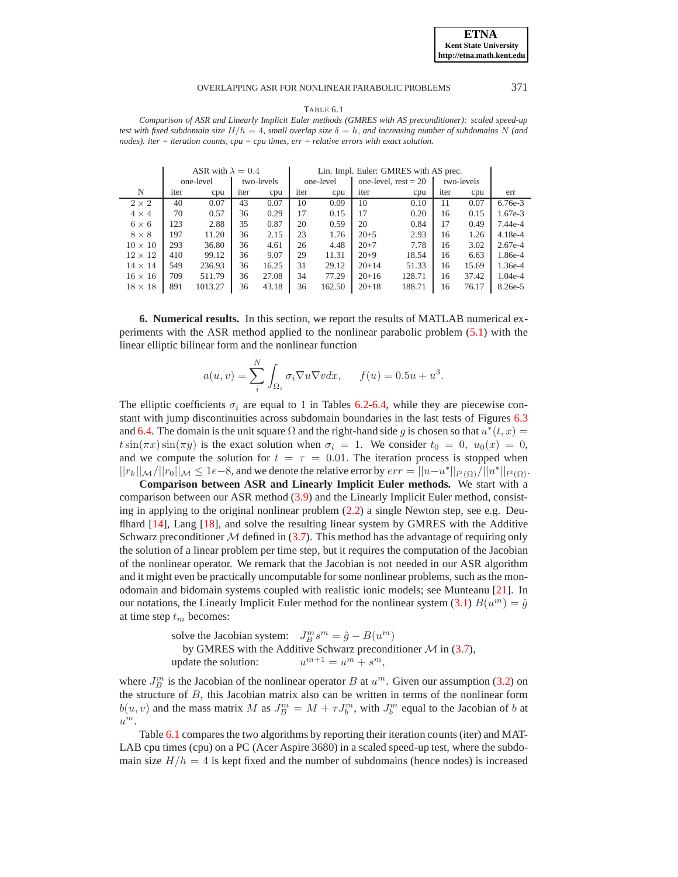#### OVERLAPPING ASR FOR NONLINEAR PARABOLIC PROBLEMS 371

TABLE 6.1

<span id="page-12-1"></span>*Comparison of ASR and Linearly Implicit Euler methods (GMRES with AS preconditioner): scaled speed-up test with fixed subdomain size*  $H/h = 4$ *, small overlap size*  $\delta = h$ *, and increasing number of subdomains* N *(and nodes). iter = iteration counts, cpu = cpu times, err = relative errors with exact solution.*

|                | ASR with $\lambda = 0.4$ |           |      | Lin. Impl. Euler: GMRES with AS prec. |      |           |           |                        |      |            |           |
|----------------|--------------------------|-----------|------|---------------------------------------|------|-----------|-----------|------------------------|------|------------|-----------|
|                |                          | one-level |      | two-levels                            |      | one-level |           | one-level, $rest = 20$ |      | two-levels |           |
| N              | iter                     | cpu       | iter | cpu                                   | iter | cpu       | iter      | cpu                    | iter | cpu        | err       |
| $2 \times 2$   | 40                       | 0.07      | 43   | 0.07                                  | 10   | 0.09      | 10        | 0.10                   | 11   | 0.07       | $6.76e-3$ |
| $4 \times 4$   | 70                       | 0.57      | 36   | 0.29                                  | 17   | 0.15      | 17        | 0.20                   | 16   | 0.15       | $1.67e-3$ |
| $6 \times 6$   | 123                      | 2.88      | 35   | 0.87                                  | 20   | 0.59      | 20        | 0.84                   | 17   | 0.49       | 7.44e-4   |
| $8 \times 8$   | 197                      | 11.20     | 36   | 2.15                                  | 23   | 1.76      | $20 + 5$  | 2.93                   | 16   | 1.26       | $4.18e-4$ |
| $10 \times 10$ | 293                      | 36.80     | 36   | 4.61                                  | 26   | 4.48      | $20 + 7$  | 7.78                   | 16   | 3.02       | $2.67e-4$ |
| $12 \times 12$ | 410                      | 99.12     | 36   | 9.07                                  | 29   | 11.31     | $20+9$    | 18.54                  | 16   | 6.63       | 1.86e-4   |
| $14 \times 14$ | 549                      | 236.93    | 36   | 16.25                                 | 31   | 29.12     | $20+14$   | 51.33                  | 16   | 15.69      | 1.36e-4   |
| $16 \times 16$ | 709                      | 511.79    | 36   | 27.08                                 | 34   | 77.29     | $20+16$   | 128.71                 | 16   | 37.42      | $1.04e-4$ |
| $18 \times 18$ | 891                      | 1013.27   | 36   | 43.18                                 | 36   | 162.50    | $20 + 18$ | 188.71                 | 16   | 76.17      | 8.26e-5   |

<span id="page-12-0"></span>**6. Numerical results.** In this section, we report the results of MATLAB numerical experiments with the ASR method applied to the nonlinear parabolic problem [\(5.1\)](#page-10-4) with the linear elliptic bilinear form and the nonlinear function

$$
a(u,v) = \sum_{i}^{N} \int_{\Omega_i} \sigma_i \nabla u \nabla v dx, \quad f(u) = 0.5u + u^3.
$$

The elliptic coefficients  $\sigma_i$  are equal to 1 in Tables [6.2](#page-13-0)[-6.4,](#page-15-1) while they are piecewise constant with jump discontinuities across subdomain boundaries in the last tests of Figures [6.3](#page-16-5) and [6.4.](#page-16-6) The domain is the unit square  $\Omega$  and the right-hand side g is chosen so that  $u^*(t, x) =$  $t\sin(\pi x)\sin(\pi y)$  is the exact solution when  $\sigma_i = 1$ . We consider  $t_0 = 0$ ,  $u_0(x) = 0$ , and we compute the solution for  $t = \tau = 0.01$ . The iteration process is stopped when  $||r_k||_{\mathcal{M}}/||r_0||_{\mathcal{M}} \leq 1$ e – 8, and we denote the relative error by  $err = ||u-u^*||_{l^2(\Omega)}/||u^*||_{l^2(\Omega)}$ .

**Comparison between ASR and Linearly Implicit Euler methods.** We start with a comparison between our ASR method [\(3.9\)](#page-4-1) and the Linearly Implicit Euler method, consisting in applying to the original nonlinear problem [\(2.2\)](#page-2-1) a single Newton step, see e.g. Deu-flhard [\[14\]](#page-17-26), Lang [\[18\]](#page-17-27), and solve the resulting linear system by GMRES with the Additive Schwarz preconditioner  $\mathcal M$  defined in [\(3.7\)](#page-3-4). This method has the advantage of requiring only the solution of a linear problem per time step, but it requires the computation of the Jacobian of the nonlinear operator. We remark that the Jacobian is not needed in our ASR algorithm and it might even be practically uncomputable for some nonlinear problems, such as the monodomain and bidomain systems coupled with realistic ionic models; see Munteanu [\[21\]](#page-17-18). In our notations, the Linearly Implicit Euler method for the nonlinear system [\(3.1\)](#page-2-2)  $B(u^m) = \hat{g}$ at time step  $t_m$  becomes:

> solve the Jacobian system:  $J_B^m s^m = \hat{g} - B(u^m)$ by GMRES with the Additive Schwarz preconditioner  $M$  in [\(3.7\)](#page-3-4), update the solution:  $^{m+1} = u^m + s^m,$

where  $J_B^m$  is the Jacobian of the nonlinear operator B at  $u^m$ . Given our assumption [\(3.2\)](#page-2-3) on the structure of  $B$ , this Jacobian matrix also can be written in terms of the nonlinear form  $b(u, v)$  and the mass matrix M as  $J_B^m = M + \tau J_b^m$ , with  $J_b^m$  equal to the Jacobian of b at  $u^m$ .

Table [6.1](#page-12-1) compares the two algorithms by reporting their iteration counts (iter) and MAT-LAB cpu times (cpu) on a PC (Acer Aspire 3680) in a scaled speed-up test, where the subdomain size  $H/h = 4$  is kept fixed and the number of subdomains (hence nodes) is increased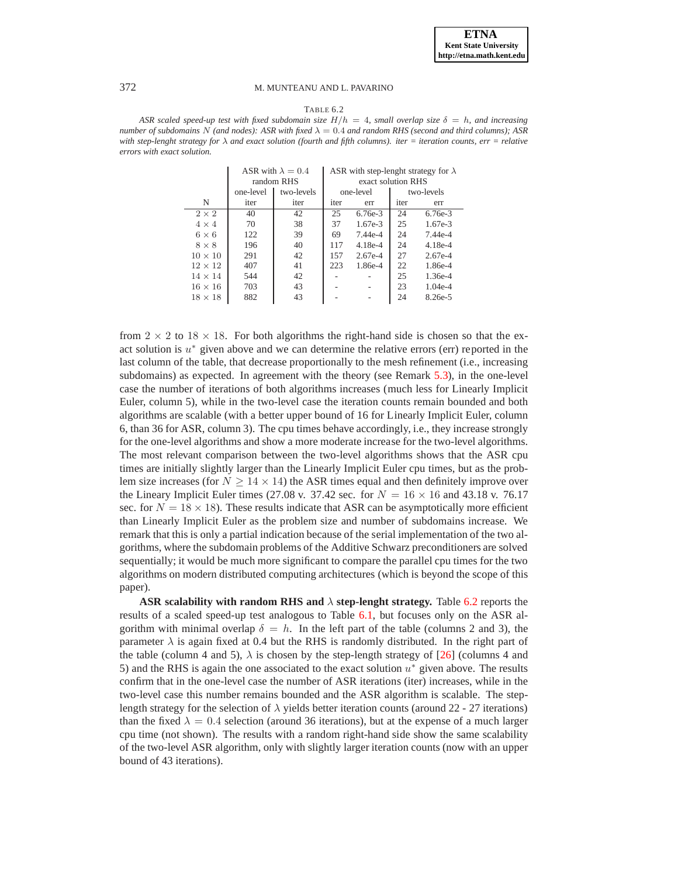TABLE 6.2

<span id="page-13-0"></span>ASR scaled speed-up test with fixed subdomain size  $H/h = 4$ , small overlap size  $\delta = h$ , and increasing *number of subdomains* N (and nodes): ASR with fixed  $\lambda = 0.4$  and random RHS (second and third columns); ASR *with step-lenght strategy for* λ *and exact solution (fourth and fifth columns). iter = iteration counts, err = relative errors with exact solution.*

|                |           | ASR with $\lambda = 0.4$<br>random RHS | ASR with step-lenght strategy for $\lambda$<br>exact solution RHS |           |      |            |  |
|----------------|-----------|----------------------------------------|-------------------------------------------------------------------|-----------|------|------------|--|
|                | one-level | two-levels                             |                                                                   | one-level |      | two-levels |  |
| N              | iter      | iter                                   | iter                                                              | err       | iter | err        |  |
| $2\times 2$    | 40        | 42                                     | 25                                                                | $6.76e-3$ | 24   | $6.76e-3$  |  |
| $4 \times 4$   | 70        | 38                                     | 37                                                                | $1.67e-3$ | 25   | $1.67e-3$  |  |
| $6 \times 6$   | 122       | 39                                     | 69                                                                | $7.44e-4$ | 24   | $7.44e-4$  |  |
| $8 \times 8$   | 196       | 40                                     | 117                                                               | $4.18e-4$ | 24   | $4.18e-4$  |  |
| $10 \times 10$ | 291       | 42                                     | 157                                                               | $2.67e-4$ | 27   | $2.67e-4$  |  |
| $12 \times 12$ | 407       | 41                                     | 223                                                               | 1.86e-4   | 22   | 1.86e-4    |  |
| $14 \times 14$ | 544       | 42                                     |                                                                   |           | 25   | $1.36e-4$  |  |
| $16 \times 16$ | 703       | 43                                     |                                                                   |           | 23   | $1.04e-4$  |  |
| $18 \times 18$ | 882       | 43                                     |                                                                   |           | 24   | $8.26e-5$  |  |

from  $2 \times 2$  to  $18 \times 18$ . For both algorithms the right-hand side is chosen so that the exact solution is  $u^*$  given above and we can determine the relative errors (err) reported in the last column of the table, that decrease proportionally to the mesh refinement (i.e., increasing subdomains) as expected. In agreement with the theory (see Remark [5.3\)](#page-11-0), in the one-level case the number of iterations of both algorithms increases (much less for Linearly Implicit Euler, column 5), while in the two-level case the iteration counts remain bounded and both algorithms are scalable (with a better upper bound of 16 for Linearly Implicit Euler, column 6, than 36 for ASR, column 3). The cpu times behave accordingly, i.e., they increase strongly for the one-level algorithms and show a more moderate increase for the two-level algorithms. The most relevant comparison between the two-level algorithms shows that the ASR cpu times are initially slightly larger than the Linearly Implicit Euler cpu times, but as the problem size increases (for  $N \ge 14 \times 14$ ) the ASR times equal and then definitely improve over the Lineary Implicit Euler times (27.08 v. 37.42 sec. for  $N = 16 \times 16$  and 43.18 v. 76.17 sec. for  $N = 18 \times 18$ ). These results indicate that ASR can be asymptotically more efficient than Linearly Implicit Euler as the problem size and number of subdomains increase. We remark that this is only a partial indication because of the serial implementation of the two algorithms, where the subdomain problems of the Additive Schwarz preconditioners are solved sequentially; it would be much more significant to compare the parallel cpu times for the two algorithms on modern distributed computing architectures (which is beyond the scope of this paper).

**ASR scalability with random RHS and**  $\lambda$  **step-lenght strategy.** Table [6.2](#page-13-0) reports the results of a scaled speed-up test analogous to Table [6.1,](#page-12-1) but focuses only on the ASR algorithm with minimal overlap  $\delta = h$ . In the left part of the table (columns 2 and 3), the parameter  $\lambda$  is again fixed at 0.4 but the RHS is randomly distributed. In the right part of the table (column 4 and 5),  $\lambda$  is chosen by the step-length strategy of [\[26\]](#page-17-24) (columns 4 and 5) and the RHS is again the one associated to the exact solution  $u^*$  given above. The results confirm that in the one-level case the number of ASR iterations (iter) increases, while in the two-level case this number remains bounded and the ASR algorithm is scalable. The steplength strategy for the selection of  $\lambda$  yields better iteration counts (around 22 - 27 iterations) than the fixed  $\lambda = 0.4$  selection (around 36 iterations), but at the expense of a much larger cpu time (not shown). The results with a random right-hand side show the same scalability of the two-level ASR algorithm, only with slightly larger iteration counts (now with an upper bound of 43 iterations).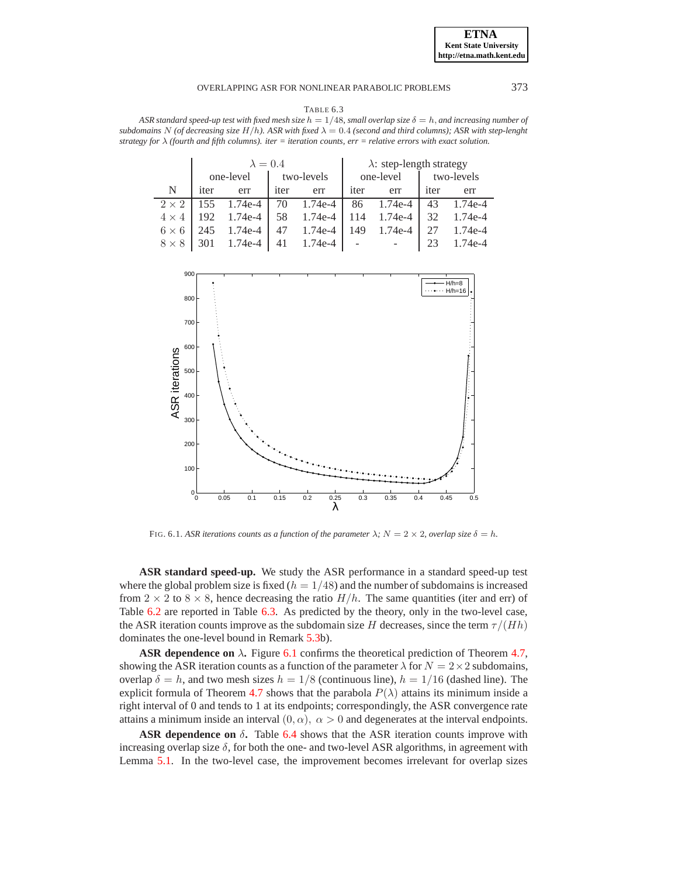## OVERLAPPING ASR FOR NONLINEAR PARABOLIC PROBLEMS 373

<span id="page-14-1"></span>TABLE 6.3 ASR standard speed-up test with fixed mesh size  $h = 1/48$ , small overlap size  $\delta = h$ , and increasing number of *subdomains* N (of decreasing size  $H/h$ ). ASR with fixed  $\lambda = 0.4$  *(second and third columns); ASR with step-lenght strategy for* λ *(fourth and fifth columns). iter = iteration counts, err = relative errors with exact solution.*

|              |      | $\lambda = 0.4$ |      |            |      | $\lambda$ : step-length strategy |      |            |  |
|--------------|------|-----------------|------|------------|------|----------------------------------|------|------------|--|
|              |      | one-level       |      | two-levels |      | one-level                        |      | two-levels |  |
| N            | iter | err             | iter | err        | iter | err                              | iter | err        |  |
| $2 \times 2$ | 155  | 1.74e-4         | 70   | 1.74e-4    | 86   | 1.74e-4                          | 43   | $1.74e-4$  |  |
| $4 \times 4$ | 192  | 1.74e-4         | 58   | 1.74e-4    | 114  | 1.74e-4                          | 32   | 1.74e-4    |  |
| $6 \times 6$ | 245  | 1.74e-4         | 47   | $1.74e-4$  | 149  | $1.74e-4$                        | 27   | $1.74e-4$  |  |
| $8 \times 8$ | 301  | 1.74e-4         | 41   | 1.74e-4    |      |                                  | 23   | $1.74e-4$  |  |



FIG. 6.1. *ASR iterations counts as a function of the parameter*  $\lambda$ *;*  $N = 2 \times 2$ *, overlap size*  $\delta = h$ *.* 

<span id="page-14-0"></span>**ASR standard speed-up.** We study the ASR performance in a standard speed-up test where the global problem size is fixed  $(h = 1/48)$  and the number of subdomains is increased from  $2 \times 2$  to  $8 \times 8$ , hence decreasing the ratio  $H/h$ . The same quantities (iter and err) of Table [6.2](#page-13-0) are reported in Table [6.3.](#page-14-1) As predicted by the theory, only in the two-level case, the ASR iteration counts improve as the subdomain size H decreases, since the term  $\tau/(Hh)$ dominates the one-level bound in Remark [5.3b](#page-11-0)).

**ASR dependence on**  $\lambda$ . Figure [6.1](#page-14-0) confirms the theoretical prediction of Theorem [4.7,](#page-9-0) showing the ASR iteration counts as a function of the parameter  $\lambda$  for  $N = 2 \times 2$  subdomains, overlap  $\delta = h$ , and two mesh sizes  $h = 1/8$  (continuous line),  $h = 1/16$  (dashed line). The explicit formula of Theorem [4.7](#page-9-0) shows that the parabola  $P(\lambda)$  attains its minimum inside a right interval of 0 and tends to 1 at its endpoints; correspondingly, the ASR convergence rate attains a minimum inside an interval  $(0, \alpha)$ ,  $\alpha > 0$  and degenerates at the interval endpoints.

**ASR dependence on** δ**.** Table [6.4](#page-15-1) shows that the ASR iteration counts improve with increasing overlap size  $\delta$ , for both the one- and two-level ASR algorithms, in agreement with Lemma [5.1.](#page-10-3) In the two-level case, the improvement becomes irrelevant for overlap sizes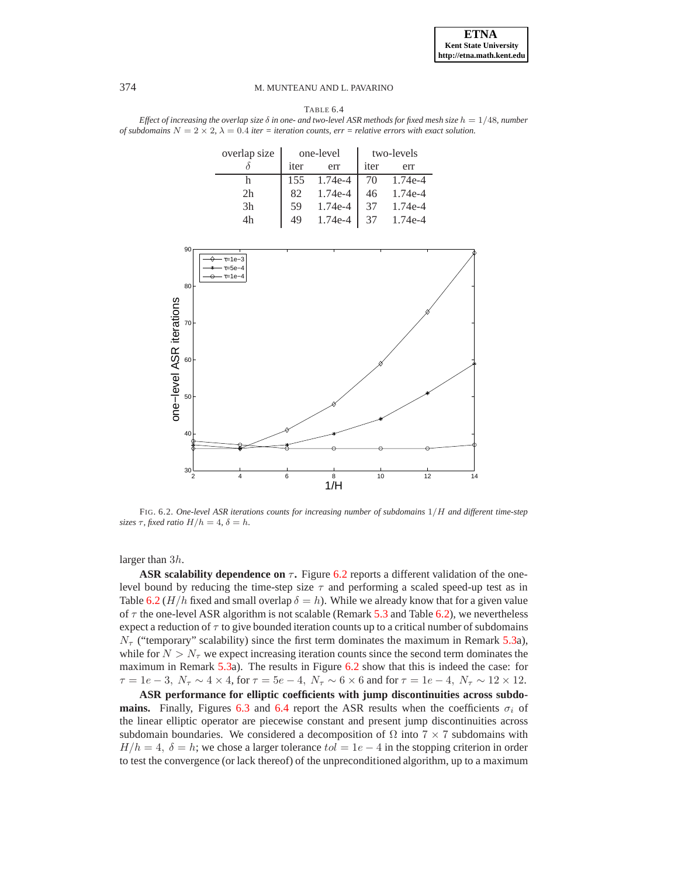<span id="page-15-1"></span>

| TABLE 6.4                                                                                                                |
|--------------------------------------------------------------------------------------------------------------------------|
| Effect of increasing the overlap size $\delta$ in one- and two-level ASR methods for fixed mesh size $h = 1/48$ , number |
| of subdomains $N = 2 \times 2$ , $\lambda = 0.4$ iter = iteration counts, err = relative errors with exact solution.     |

| overlap size   |      | one-level |      | two-levels |
|----------------|------|-----------|------|------------|
|                | iter | err       | iter | err        |
|                | 155  | 1.74e-4   | 70   | 1.74e-4    |
| 2h             | 82   | 1.74e-4   | 46   | $1.74e-4$  |
| 3 <sub>h</sub> | 59   | 1.74e-4   |      | $1.74e-4$  |
| 4 <sub>h</sub> | 49   | 1.74e-4   |      | $174e-4$   |



<span id="page-15-0"></span>FIG. 6.2. *One-level ASR iterations counts for increasing number of subdomains* 1/H *and different time-step sizes*  $\tau$ *, fixed ratio*  $H/h = 4$ ,  $\delta = h$ .

larger than 3h.

**ASR scalability dependence on**  $\tau$ . Figure [6.2](#page-15-0) reports a different validation of the onelevel bound by reducing the time-step size  $\tau$  and performing a scaled speed-up test as in Table [6.2](#page-13-0) (H/h fixed and small overlap  $\delta = h$ ). While we already know that for a given value of  $\tau$  the one-level ASR algorithm is not scalable (Remark [5.3](#page-11-0) and Table [6.2\)](#page-13-0), we nevertheless expect a reduction of  $\tau$  to give bounded iteration counts up to a critical number of subdomains  $N_{\tau}$  ("temporary" scalability) since the first term dominates the maximum in Remark [5.3a](#page-11-0)), while for  $N > N<sub>\tau</sub>$  we expect increasing iteration counts since the second term dominates the maximum in Remark [5.3a](#page-11-0)). The results in Figure [6.2](#page-15-0) show that this is indeed the case: for  $\tau = 1e - 3$ ,  $N_{\tau} \sim 4 \times 4$ , for  $\tau = 5e - 4$ ,  $N_{\tau} \sim 6 \times 6$  and for  $\tau = 1e - 4$ ,  $N_{\tau} \sim 12 \times 12$ .

**ASR performance for elliptic coefficients with jump discontinuities across subdomains.** Finally, Figures [6.3](#page-16-5) and [6.4](#page-16-6) report the ASR results when the coefficients  $\sigma_i$  of the linear elliptic operator are piecewise constant and present jump discontinuities across subdomain boundaries. We considered a decomposition of  $\Omega$  into  $7 \times 7$  subdomains with  $H/h = 4$ ,  $\delta = h$ ; we chose a larger tolerance  $tol = 1e - 4$  in the stopping criterion in order to test the convergence (or lack thereof) of the unpreconditioned algorithm, up to a maximum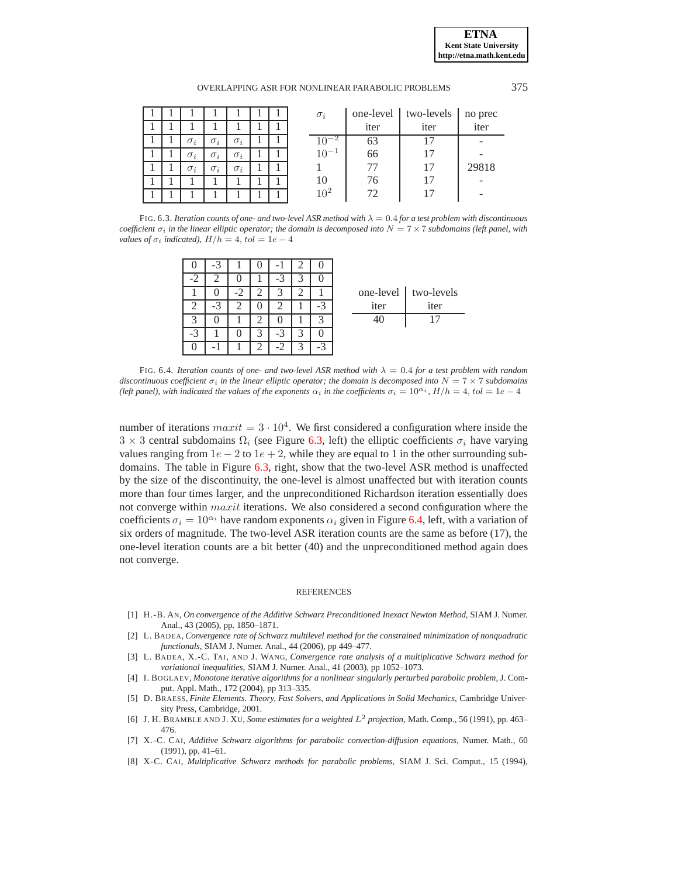| OVERLAPPING ASR FOR NONLINEAR PARABOLIC PROBLEMS | 375 |
|--------------------------------------------------|-----|
|--------------------------------------------------|-----|

|  |            |            |            |  | $\sigma_i$ |      | one-level   two-levels | no prec |
|--|------------|------------|------------|--|------------|------|------------------------|---------|
|  |            |            |            |  |            | iter | iter                   | iter    |
|  | $\sigma_i$ | $\sigma_i$ | $\sigma_i$ |  |            | 63   |                        |         |
|  | $\sigma_i$ | $\sigma_i$ | $\sigma_i$ |  | $10^{-1}$  | 66   |                        |         |
|  | $\sigma_i$ | $\sigma_i$ | $\sigma_i$ |  |            |      |                        | 29818   |
|  |            |            |            |  | 10         | 76   |                        |         |
|  |            |            |            |  | $10^{2}$   |      |                        |         |

<span id="page-16-5"></span>FIG. 6.3. *Iteration counts of one- and two-level ASR method with* λ = 0.4 *for a test problem with discontinuous coefficient*  $\sigma_i$  *in the linear elliptic operator; the domain is decomposed into*  $N = 7 \times 7$  *subdomains (left panel, with values of*  $\sigma_i$  *indicated),*  $H/h = 4$ ,  $tol = 1e - 4$ 

|           |      |   |      |   | $-3$ |           |
|-----------|------|---|------|---|------|-----------|
|           |      |   | $-3$ |   |      | -2        |
| one-level |      |   |      |   |      |           |
| iter      | $-2$ |   |      | 2 | $-3$ | 2         |
| 40        |      |   |      |   |      | 2         |
|           |      | 3 | $-2$ |   |      | $\cdot^2$ |
|           |      |   |      |   |      |           |

| one-level | two-levels |
|-----------|------------|
| iter      | iter       |
| 40        | 17         |
|           |            |

<span id="page-16-6"></span>FIG. 6.4. *Iteration counts of one- and two-level ASR method with* λ = 0.4 *for a test problem with random discontinuous coefficient*  $\sigma_i$  *in the linear elliptic operator; the domain is decomposed into*  $N = 7 \times 7$  *subdomains (left panel), with indicated the values of the exponents*  $\alpha_i$  *in the coefficients*  $\sigma_i = 10^{\alpha_i}$ ,  $H/h = 4$ ,  $tol = 1e - 4$ 

number of iterations  $maxit = 3 \cdot 10^4$ . We first considered a configuration where inside the  $3 \times 3$  central subdomains  $\Omega_i$  (see Figure [6.3,](#page-16-5) left) the elliptic coefficients  $\sigma_i$  have varying values ranging from  $1e - 2$  to  $1e + 2$ , while they are equal to 1 in the other surrounding subdomains. The table in Figure [6.3,](#page-16-5) right, show that the two-level ASR method is unaffected by the size of the discontinuity, the one-level is almost unaffected but with iteration counts more than four times larger, and the unpreconditioned Richardson iteration essentially does not converge within *maxit* iterations. We also considered a second configuration where the coefficients  $\sigma_i = 10^{\alpha_i}$  have random exponents  $\alpha_i$  given in Figure [6.4,](#page-16-6) left, with a variation of six orders of magnitude. The two-level ASR iteration counts are the same as before (17), the one-level iteration counts are a bit better (40) and the unpreconditioned method again does not converge.

#### **REFERENCES**

- <span id="page-16-0"></span>[1] H.-B. AN, *On convergence of the Additive Schwarz Preconditioned Inexact Newton Method*, SIAM J. Numer. Anal., 43 (2005), pp. 1850–1871.
- <span id="page-16-2"></span>[2] L. BADEA, *Convergence rate of Schwarz multilevel method for the constrained minimization of nonquadratic functionals*, SIAM J. Numer. Anal., 44 (2006), pp 449–477.
- [3] L. BADEA, X.-C. TAI, AND J. WANG, *Convergence rate analysis of a multiplicative Schwarz method for variational inequalities*, SIAM J. Numer. Anal., 41 (2003), pp 1052–1073.
- <span id="page-16-1"></span>[4] I. BOGLAEV, *Monotone iterative algorithms for a nonlinear singularly perturbed parabolic problem*, J. Comput. Appl. Math., 172 (2004), pp 313–335.
- [5] D. BRAESS, *Finite Elements. Theory, Fast Solvers, and Applications in Solid Mechanics*, Cambridge University Press, Cambridge, 2001.
- [6] J. H. BRAMBLE AND J. XU, *Some estimates for a weighted* L<sup>2</sup> *projection*, Math. Comp., 56 (1991), pp. 463– 476.
- <span id="page-16-3"></span>[7] X.-C. CAI, *Additive Schwarz algorithms for parabolic convection-diffusion equations*, Numer. Math., 60 (1991), pp. 41–61.
- <span id="page-16-4"></span>[8] X-C. CAI, *Multiplicative Schwarz methods for parabolic problems*, SIAM J. Sci. Comput., 15 (1994),